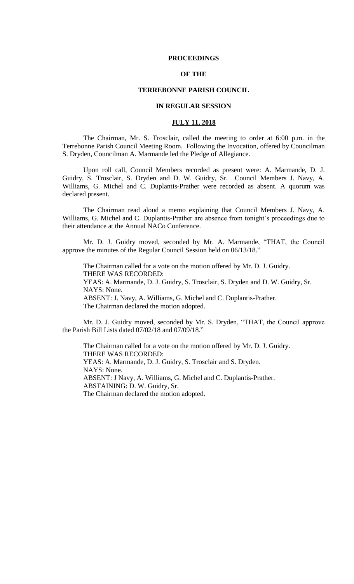#### **PROCEEDINGS**

# **OF THE**

# **TERREBONNE PARISH COUNCIL**

### **IN REGULAR SESSION**

#### **JULY 11, 2018**

The Chairman, Mr. S. Trosclair, called the meeting to order at 6:00 p.m. in the Terrebonne Parish Council Meeting Room. Following the Invocation, offered by Councilman S. Dryden, Councilman A. Marmande led the Pledge of Allegiance.

Upon roll call, Council Members recorded as present were: A. Marmande, D. J. Guidry, S. Trosclair, S. Dryden and D. W. Guidry, Sr. Council Members J. Navy, A. Williams, G. Michel and C. Duplantis-Prather were recorded as absent. A quorum was declared present.

The Chairman read aloud a memo explaining that Council Members J. Navy, A. Williams, G. Michel and C. Duplantis-Prather are absence from tonight's proceedings due to their attendance at the Annual NACo Conference.

Mr. D. J. Guidry moved, seconded by Mr. A. Marmande, "THAT, the Council approve the minutes of the Regular Council Session held on 06/13/18."

The Chairman called for a vote on the motion offered by Mr. D. J. Guidry. THERE WAS RECORDED: YEAS: A. Marmande, D. J. Guidry, S. Trosclair, S. Dryden and D. W. Guidry, Sr. NAYS: None. ABSENT: J. Navy, A. Williams, G. Michel and C. Duplantis-Prather. The Chairman declared the motion adopted.

Mr. D. J. Guidry moved, seconded by Mr. S. Dryden, "THAT, the Council approve the Parish Bill Lists dated 07/02/18 and 07/09/18."

The Chairman called for a vote on the motion offered by Mr. D. J. Guidry. THERE WAS RECORDED: YEAS: A. Marmande, D. J. Guidry, S. Trosclair and S. Dryden. NAYS: None. ABSENT: J Navy, A. Williams, G. Michel and C. Duplantis-Prather. ABSTAINING: D. W. Guidry, Sr. The Chairman declared the motion adopted.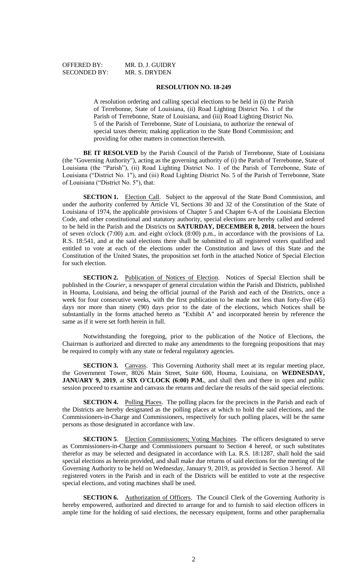OFFERED BY: MR. D. J. GUIDRY

#### **RESOLUTION NO. 18-249**

A resolution ordering and calling special elections to be held in (i) the Parish of Terrebonne, State of Louisiana, (ii) Road Lighting District No. 1 of the Parish of Terrebonne, State of Louisiana, and (iii) Road Lighting District No. 5 of the Parish of Terrebonne, State of Louisiana, to authorize the renewal of special taxes therein; making application to the State Bond Commission; and providing for other matters in connection therewith.

**BE IT RESOLVED** by the Parish Council of the Parish of Terrebonne, State of Louisiana (the "Governing Authority"), acting as the governing authority of (i) the Parish of Terrebonne, State of Louisiana (the "Parish"), (ii) Road Lighting District No. 1 of the Parish of Terrebonne, State of Louisiana ("District No. 1"), and (iii) Road Lighting District No. 5 of the Parish of Terrebonne, State of Louisiana ("District No. 5"), that:

**SECTION 1.** Election Call. Subject to the approval of the State Bond Commission, and under the authority conferred by Article VI, Sections 30 and 32 of the Constitution of the State of Louisiana of 1974, the applicable provisions of Chapter 5 and Chapter 6-A of the Louisiana Election Code, and other constitutional and statutory authority, special elections are hereby called and ordered to be held in the Parish and the Districts on **SATURDAY, DECEMBER 8, 2018**, between the hours of seven o'clock (7:00) a.m. and eight o'clock (8:00) p.m., in accordance with the provisions of La. R.S. 18:541, and at the said elections there shall be submitted to all registered voters qualified and entitled to vote at each of the elections under the Constitution and laws of this State and the Constitution of the United States, the proposition set forth in the attached Notice of Special Election for such election.

**SECTION 2.** Publication of Notices of Election. Notices of Special Election shall be published in the *Courier*, a newspaper of general circulation within the Parish and Districts, published in Houma, Louisiana, and being the official journal of the Parish and each of the Districts, once a week for four consecutive weeks, with the first publication to be made not less than forty-five (45) days nor more than ninety (90) days prior to the date of the elections, which Notices shall be substantially in the forms attached hereto as "Exhibit A" and incorporated herein by reference the same as if it were set forth herein in full.

Notwithstanding the foregoing, prior to the publication of the Notice of Elections, the Chairman is authorized and directed to make any amendments to the foregoing propositions that may be required to comply with any state or federal regulatory agencies.

**SECTION 3.** Canvass. This Governing Authority shall meet at its regular meeting place, the Government Tower, 8026 Main Street, Suite 600, Houma, Louisiana, on **WEDNESDAY, JANUARY 9, 2019**, at **SIX O'CLOCK (6:00) P.M.**, and shall then and there in open and public session proceed to examine and canvass the returns and declare the results of the said special elections.

**SECTION 4.** Polling Places. The polling places for the precincts in the Parish and each of the Districts are hereby designated as the polling places at which to hold the said elections, and the Commissioners-in-Charge and Commissioners, respectively for such polling places, will be the same persons as those designated in accordance with law.

**SECTION 5**. Election Commissioners; Voting Machines. The officers designated to serve as Commissioners-in-Charge and Commissioners pursuant to Section 4 hereof, or such substitutes therefor as may be selected and designated in accordance with La. R.S. 18:1287, shall hold the said special elections as herein provided, and shall make due returns of said elections for the meeting of the Governing Authority to be held on Wednesday, January 9, 2019, as provided in Section 3 hereof. All registered voters in the Parish and in each of the Districts will be entitled to vote at the respective special elections, and voting machines shall be used.

**SECTION 6.** Authorization of Officers. The Council Clerk of the Governing Authority is hereby empowered, authorized and directed to arrange for and to furnish to said election officers in ample time for the holding of said elections, the necessary equipment, forms and other paraphernalia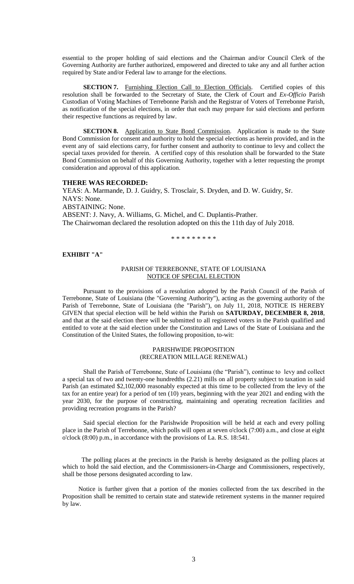essential to the proper holding of said elections and the Chairman and/or Council Clerk of the Governing Authority are further authorized, empowered and directed to take any and all further action required by State and/or Federal law to arrange for the elections.

**SECTION 7.** Furnishing Election Call to Election Officials. Certified copies of this resolution shall be forwarded to the Secretary of State, the Clerk of Court and *Ex-Officio* Parish Custodian of Voting Machines of Terrebonne Parish and the Registrar of Voters of Terrebonne Parish, as notification of the special elections, in order that each may prepare for said elections and perform their respective functions as required by law.

**SECTION 8.** Application to State Bond Commission. Application is made to the State Bond Commission for consent and authority to hold the special elections as herein provided, and in the event any of said elections carry, for further consent and authority to continue to levy and collect the special taxes provided for therein. A certified copy of this resolution shall be forwarded to the State Bond Commission on behalf of this Governing Authority, together with a letter requesting the prompt consideration and approval of this application.

#### **THERE WAS RECORDED:**

YEAS: A. Marmande, D. J. Guidry, S. Trosclair, S. Dryden, and D. W. Guidry, Sr. NAYS: None. ABSTAINING: None. ABSENT: J. Navy, A. Williams, G. Michel, and C. Duplantis-Prather. The Chairwoman declared the resolution adopted on this the 11th day of July 2018.

\* \* \* \* \* \* \* \* \*

#### **EXHIBIT "A"**

#### PARISH OF TERREBONNE, STATE OF LOUISIANA NOTICE OF SPECIAL ELECTION

Pursuant to the provisions of a resolution adopted by the Parish Council of the Parish of Terrebonne, State of Louisiana (the "Governing Authority"), acting as the governing authority of the Parish of Terrebonne, State of Louisiana (the "Parish"), on July 11, 2018, NOTICE IS HEREBY GIVEN that special election will be held within the Parish on **SATURDAY, DECEMBER 8, 2018**, and that at the said election there will be submitted to all registered voters in the Parish qualified and entitled to vote at the said election under the Constitution and Laws of the State of Louisiana and the Constitution of the United States, the following proposition, to-wit:

#### PARISHWIDE PROPOSITION (RECREATION MILLAGE RENEWAL)

Shall the Parish of Terrebonne, State of Louisiana (the "Parish"), continue to levy and collect a special tax of two and twenty-one hundredths (2.21) mills on all property subject to taxation in said Parish (an estimated \$2,102,000 reasonably expected at this time to be collected from the levy of the tax for an entire year) for a period of ten (10) years, beginning with the year 2021 and ending with the year 2030, for the purpose of constructing, maintaining and operating recreation facilities and providing recreation programs in the Parish?

Said special election for the Parishwide Proposition will be held at each and every polling place in the Parish of Terrebonne, which polls will open at seven o'clock (7:00) a.m., and close at eight o'clock (8:00) p.m., in accordance with the provisions of La. R.S. 18:541.

 The polling places at the precincts in the Parish is hereby designated as the polling places at which to hold the said election, and the Commissioners-in-Charge and Commissioners, respectively, shall be those persons designated according to law.

 Notice is further given that a portion of the monies collected from the tax described in the Proposition shall be remitted to certain state and statewide retirement systems in the manner required by law.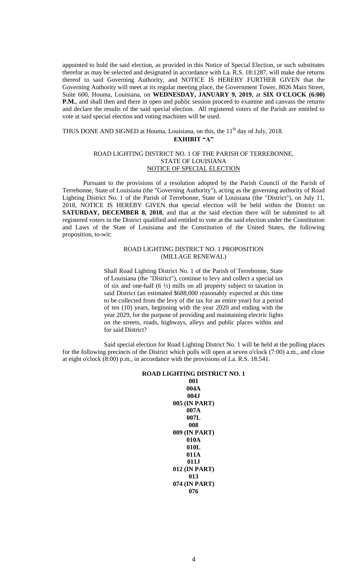appointed to hold the said election, as provided in this Notice of Special Election, or such substitutes therefor as may be selected and designated in accordance with La. R.S. 18:1287, will make due returns thereof to said Governing Authority, and NOTICE IS HEREBY FURTHER GIVEN that the Governing Authority will meet at its regular meeting place, the Government Tower, 8026 Main Street, Suite 600, Houma, Louisiana, on **WEDNESDAY, JANUARY 9, 2019**, at **SIX O'CLOCK (6:00) P.M.**, and shall then and there in open and public session proceed to examine and canvass the returns and declare the results of the said special election. All registered voters of the Parish are entitled to vote at said special election and voting machines will be used.

# THUS DONE AND SIGNED at Houma, Louisiana, on this, the 11<sup>th</sup> day of July, 2018. **EXHIBIT "A"**

#### ROAD LIGHTING DISTRICT NO. 1 OF THE PARISH OF TERREBONNE, STATE OF LOUISIANA NOTICE OF SPECIAL ELECTION

Pursuant to the provisions of a resolution adopted by the Parish Council of the Parish of Terrebonne, State of Louisiana (the "Governing Authority"), acting as the governing authority of Road Lighting District No. 1 of the Parish of Terrebonne, State of Louisiana (the "District"), on July 11, 2018, NOTICE IS HEREBY GIVEN that special election will be held within the District on **SATURDAY, DECEMBER 8, 2018**, and that at the said election there will be submitted to all registered voters in the District qualified and entitled to vote at the said election under the Constitution and Laws of the State of Louisiana and the Constitution of the United States, the following proposition, to-wit:

### ROAD LIGHTING DISTRICT NO. 1 PROPOSITION (MILLAGE RENEWAL)

Shall Road Lighting District No. 1 of the Parish of Terrebonne, State of Louisiana (the "District"), continue to levy and collect a special tax of six and one-half (6 ½) mills on all property subject to taxation in said District (an estimated \$688,000 reasonably expected at this time to be collected from the levy of the tax for an entire year) for a period of ten (10) years, beginning with the year 2020 and ending with the year 2029, for the purpose of providing and maintaining electric lights on the streets, roads, highways, alleys and public places within and for said District?

Said special election for Road Lighting District No. 1 will be held at the polling places for the following precincts of the District which polls will open at seven o'clock (7:00) a.m., and close at eight o'clock (8:00) p.m., in accordance with the provisions of La. R.S. 18:541.

#### **ROAD LIGHTING DISTRICT NO. 1**

**001 004A 004J 005 (IN PART) 007A 007L 008 009 (IN PART) 010A 010L 011A 011J 012 (IN PART) 013 074 (IN PART) 076**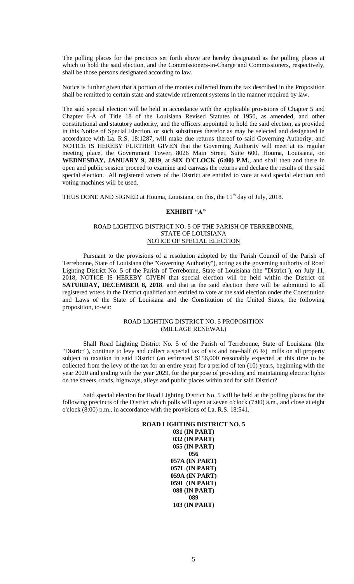The polling places for the precincts set forth above are hereby designated as the polling places at which to hold the said election, and the Commissioners-in-Charge and Commissioners, respectively, shall be those persons designated according to law.

Notice is further given that a portion of the monies collected from the tax described in the Proposition shall be remitted to certain state and statewide retirement systems in the manner required by law.

The said special election will be held in accordance with the applicable provisions of Chapter 5 and Chapter 6-A of Title 18 of the Louisiana Revised Statutes of 1950, as amended, and other constitutional and statutory authority, and the officers appointed to hold the said election, as provided in this Notice of Special Election, or such substitutes therefor as may be selected and designated in accordance with La. R.S. 18:1287, will make due returns thereof to said Governing Authority, and NOTICE IS HEREBY FURTHER GIVEN that the Governing Authority will meet at its regular meeting place, the Government Tower, 8026 Main Street, Suite 600, Houma, Louisiana, on **WEDNESDAY, JANUARY 9, 2019**, at **SIX O'CLOCK (6:00) P.M.**, and shall then and there in open and public session proceed to examine and canvass the returns and declare the results of the said special election. All registered voters of the District are entitled to vote at said special election and voting machines will be used.

THUS DONE AND SIGNED at Houma, Louisiana, on this, the 11<sup>th</sup> day of July, 2018.

# **EXHIBIT "A"**

#### ROAD LIGHTING DISTRICT NO. 5 OF THE PARISH OF TERREBONNE, STATE OF LOUISIANA NOTICE OF SPECIAL ELECTION

Pursuant to the provisions of a resolution adopted by the Parish Council of the Parish of Terrebonne, State of Louisiana (the "Governing Authority"), acting as the governing authority of Road Lighting District No. 5 of the Parish of Terrebonne, State of Louisiana (the "District"), on July 11, 2018, NOTICE IS HEREBY GIVEN that special election will be held within the District on **SATURDAY, DECEMBER 8, 2018**, and that at the said election there will be submitted to all registered voters in the District qualified and entitled to vote at the said election under the Constitution and Laws of the State of Louisiana and the Constitution of the United States, the following proposition, to-wit:

### ROAD LIGHTING DISTRICT NO. 5 PROPOSITION (MILLAGE RENEWAL)

Shall Road Lighting District No. 5 of the Parish of Terrebonne, State of Louisiana (the "District"), continue to levy and collect a special tax of six and one-half (6 ½) mills on all property subject to taxation in said District (an estimated \$156,000 reasonably expected at this time to be collected from the levy of the tax for an entire year) for a period of ten (10) years, beginning with the year 2020 and ending with the year 2029, for the purpose of providing and maintaining electric lights on the streets, roads, highways, alleys and public places within and for said District?

Said special election for Road Lighting District No. 5 will be held at the polling places for the following precincts of the District which polls will open at seven o'clock (7:00) a.m., and close at eight o'clock (8:00) p.m., in accordance with the provisions of La. R.S. 18:541.

### **ROAD LIGHTING DISTRICT NO. 5 031 (IN PART) 032 (IN PART) 055 (IN PART) 056 057A (IN PART) 057L (IN PART) 059A (IN PART) 059L (IN PART) 088 (IN PART) 089 103 (IN PART)**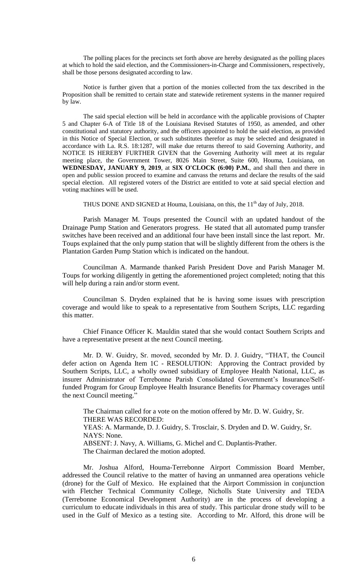The polling places for the precincts set forth above are hereby designated as the polling places at which to hold the said election, and the Commissioners-in-Charge and Commissioners, respectively, shall be those persons designated according to law.

Notice is further given that a portion of the monies collected from the tax described in the Proposition shall be remitted to certain state and statewide retirement systems in the manner required by law.

The said special election will be held in accordance with the applicable provisions of Chapter 5 and Chapter 6-A of Title 18 of the Louisiana Revised Statutes of 1950, as amended, and other constitutional and statutory authority, and the officers appointed to hold the said election, as provided in this Notice of Special Election, or such substitutes therefor as may be selected and designated in accordance with La. R.S. 18:1287, will make due returns thereof to said Governing Authority, and NOTICE IS HEREBY FURTHER GIVEN that the Governing Authority will meet at its regular meeting place, the Government Tower, 8026 Main Street, Suite 600, Houma, Louisiana, on **WEDNESDAY, JANUARY 9, 2019**, at **SIX O'CLOCK (6:00) P.M.**, and shall then and there in open and public session proceed to examine and canvass the returns and declare the results of the said special election. All registered voters of the District are entitled to vote at said special election and voting machines will be used.

THUS DONE AND SIGNED at Houma, Louisiana, on this, the  $11<sup>th</sup>$  day of July, 2018.

Parish Manager M. Toups presented the Council with an updated handout of the Drainage Pump Station and Generators progress. He stated that all automated pump transfer switches have been received and an additional four have been install since the last report. Mr. Toups explained that the only pump station that will be slightly different from the others is the Plantation Garden Pump Station which is indicated on the handout.

Councilman A. Marmande thanked Parish President Dove and Parish Manager M. Toups for working diligently in getting the aforementioned project completed; noting that this will help during a rain and/or storm event.

Councilman S. Dryden explained that he is having some issues with prescription coverage and would like to speak to a representative from Southern Scripts, LLC regarding this matter.

Chief Finance Officer K. Mauldin stated that she would contact Southern Scripts and have a representative present at the next Council meeting.

Mr. D. W. Guidry, Sr. moved, seconded by Mr. D. J. Guidry, "THAT, the Council defer action on Agenda Item 1C - RESOLUTION: Approving the Contract provided by Southern Scripts, LLC, a wholly owned subsidiary of Employee Health National, LLC, as insurer Administrator of Terrebonne Parish Consolidated Government's Insurance/Selffunded Program for Group Employee Health Insurance Benefits for Pharmacy coverages until the next Council meeting."

The Chairman called for a vote on the motion offered by Mr. D. W. Guidry, Sr. THERE WAS RECORDED: YEAS: A. Marmande, D. J. Guidry, S. Trosclair, S. Dryden and D. W. Guidry, Sr. NAYS: None. ABSENT: J. Navy, A. Williams, G. Michel and C. Duplantis-Prather. The Chairman declared the motion adopted.

Mr. Joshua Alford, Houma-Terrebonne Airport Commission Board Member, addressed the Council relative to the matter of having an unmanned area operations vehicle (drone) for the Gulf of Mexico. He explained that the Airport Commission in conjunction with Fletcher Technical Community College, Nicholls State University and TEDA (Terrebonne Economical Development Authority) are in the process of developing a curriculum to educate individuals in this area of study. This particular drone study will to be used in the Gulf of Mexico as a testing site. According to Mr. Alford, this drone will be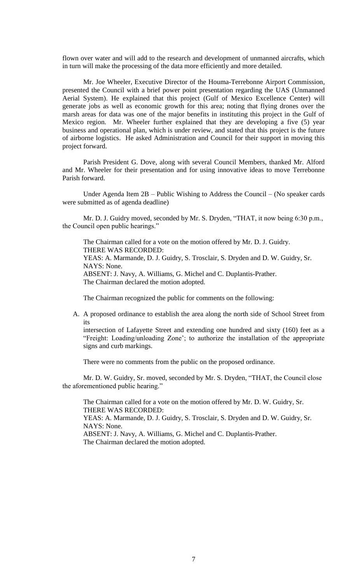flown over water and will add to the research and development of unmanned aircrafts, which in turn will make the processing of the data more efficiently and more detailed.

Mr. Joe Wheeler, Executive Director of the Houma-Terrebonne Airport Commission, presented the Council with a brief power point presentation regarding the UAS (Unmanned Aerial System). He explained that this project (Gulf of Mexico Excellence Center) will generate jobs as well as economic growth for this area; noting that flying drones over the marsh areas for data was one of the major benefits in instituting this project in the Gulf of Mexico region. Mr. Wheeler further explained that they are developing a five (5) year business and operational plan, which is under review, and stated that this project is the future of airborne logistics. He asked Administration and Council for their support in moving this project forward.

Parish President G. Dove, along with several Council Members, thanked Mr. Alford and Mr. Wheeler for their presentation and for using innovative ideas to move Terrebonne Parish forward.

Under Agenda Item 2B – Public Wishing to Address the Council – (No speaker cards were submitted as of agenda deadline)

Mr. D. J. Guidry moved, seconded by Mr. S. Dryden, "THAT, it now being 6:30 p.m., the Council open public hearings."

The Chairman called for a vote on the motion offered by Mr. D. J. Guidry. THERE WAS RECORDED: YEAS: A. Marmande, D. J. Guidry, S. Trosclair, S. Dryden and D. W. Guidry, Sr. NAYS: None. ABSENT: J. Navy, A. Williams, G. Michel and C. Duplantis-Prather. The Chairman declared the motion adopted.

The Chairman recognized the public for comments on the following:

A. A proposed ordinance to establish the area along the north side of School Street from its

intersection of Lafayette Street and extending one hundred and sixty (160) feet as a "Freight: Loading/unloading Zone'; to authorize the installation of the appropriate signs and curb markings.

There were no comments from the public on the proposed ordinance.

Mr. D. W. Guidry, Sr. moved, seconded by Mr. S. Dryden, "THAT, the Council close the aforementioned public hearing."

The Chairman called for a vote on the motion offered by Mr. D. W. Guidry, Sr. THERE WAS RECORDED: YEAS: A. Marmande, D. J. Guidry, S. Trosclair, S. Dryden and D. W. Guidry, Sr. NAYS: None. ABSENT: J. Navy, A. Williams, G. Michel and C. Duplantis-Prather. The Chairman declared the motion adopted.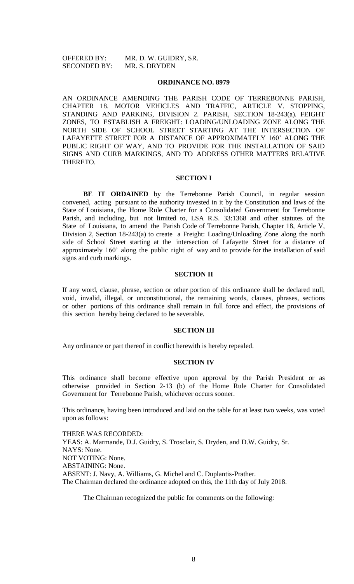OFFERED BY: MR. D. W. GUIDRY, SR. SECONDED BY: MR. S. DRYDEN

#### **ORDINANCE NO. 8979**

AN ORDINANCE AMENDING THE PARISH CODE OF TERREBONNE PARISH, CHAPTER 18. MOTOR VEHICLES AND TRAFFIC, ARTICLE V. STOPPING, STANDING AND PARKING, DIVISION 2. PARISH, SECTION 18-243(a). FEIGHT ZONES, TO ESTABLISH A FREIGHT: LOADING/UNLOADING ZONE ALONG THE NORTH SIDE OF SCHOOL STREET STARTING AT THE INTERSECTION OF LAFAYETTE STREET FOR A DISTANCE OF APPROXIMATELY 160' ALONG THE PUBLIC RIGHT OF WAY, AND TO PROVIDE FOR THE INSTALLATION OF SAID SIGNS AND CURB MARKINGS, AND TO ADDRESS OTHER MATTERS RELATIVE THERETO.

#### **SECTION I**

**BE IT ORDAINED** by the Terrebonne Parish Council, in regular session convened, acting pursuant to the authority invested in it by the Constitution and laws of the State of Louisiana, the Home Rule Charter for a Consolidated Government for Terrebonne Parish, and including, but not limited to, LSA R.S. 33:1368 and other statutes of the State of Louisiana, to amend the Parish Code of Terrebonne Parish, Chapter 18, Article V, Division 2, Section 18-243(a) to create a Freight: Loading/Unloading Zone along the north side of School Street starting at the intersection of Lafayette Street for a distance of approximately 160' along the public right of way and to provide for the installation of said signs and curb markings.

### **SECTION II**

If any word, clause, phrase, section or other portion of this ordinance shall be declared null, void, invalid, illegal, or unconstitutional, the remaining words, clauses, phrases, sections or other portions of this ordinance shall remain in full force and effect, the provisions of this section hereby being declared to be severable.

#### **SECTION III**

Any ordinance or part thereof in conflict herewith is hereby repealed.

# **SECTION IV**

This ordinance shall become effective upon approval by the Parish President or as otherwise provided in Section 2-13 (b) of the Home Rule Charter for Consolidated Government for Terrebonne Parish, whichever occurs sooner.

This ordinance, having been introduced and laid on the table for at least two weeks, was voted upon as follows:

THERE WAS RECORDED: YEAS: A. Marmande, D.J. Guidry, S. Trosclair, S. Dryden, and D.W. Guidry, Sr. NAYS: None. NOT VOTING: None. ABSTAINING: None. ABSENT: J. Navy, A. Williams, G. Michel and C. Duplantis-Prather. The Chairman declared the ordinance adopted on this, the 11th day of July 2018.

The Chairman recognized the public for comments on the following: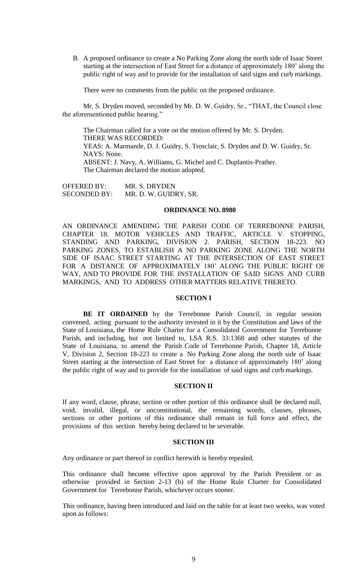B. A proposed ordinance to create a No Parking Zone along the north side of Isaac Street starting at the intersection of East Street for a distance of approximately 180' along the public right of way and to provide for the installation of said signs and curb markings.

There were no comments from the public on the proposed ordinance.

Mr. S. Dryden moved, seconded by Mr. D. W. Guidry, Sr., "THAT, the Council close the aforementioned public hearing."

The Chairman called for a vote on the motion offered by Mr. S. Dryden. THERE WAS RECORDED: YEAS: A. Marmande, D. J. Guidry, S. Trosclair, S. Dryden and D. W. Guidry, Sr. NAYS: None. ABSENT: J. Navy, A. Williams, G. Michel and C. Duplantis-Prather. The Chairman declared the motion adopted.

OFFERED BY: MR. S. DRYDEN SECONDED BY: MR. D. W. GUIDRY, SR.

#### **ORDINANCE NO. 8980**

AN ORDINANCE AMENDING THE PARISH CODE OF TERREBONNE PARISH, CHAPTER 18. MOTOR VEHICLES AND TRAFFIC, ARTICLE V. STOPPING, STANDING AND PARKING, DIVISION 2. PARISH, SECTION 18-223. NO PARKING ZONES, TO ESTABLISH A NO PARKING ZONE ALONG THE NORTH SIDE OF ISAAC STREET STARTING AT THE INTERSECTION OF EAST STREET FOR A DISTANCE OF APPROXIMATELY 180' ALONG THE PUBLIC RIGHT OF WAY, AND TO PROVIDE FOR THE INSTALLATION OF SAID SIGNS AND CURB MARKINGS, AND TO ADDRESS OTHER MATTERS RELATIVE THERETO.

### **SECTION I**

**BE IT ORDAINED** by the Terrebonne Parish Council, in regular session convened, acting pursuant to the authority invested in it by the Constitution and laws of the State of Louisiana, the Home Rule Charter for a Consolidated Government for Terrebonne Parish, and including, but not limited to, LSA R.S. 33:1368 and other statutes of the State of Louisiana, to amend the Parish Code of Terrebonne Parish, Chapter 18, Article V, Division 2, Section 18-223 to create a No Parking Zone along the north side of Isaac Street starting at the intersection of East Street for a distance of approximately 180' along the public right of way and to provide for the installation of said signs and curb markings.

# **SECTION II**

If any word, clause, phrase, section or other portion of this ordinance shall be declared null, void, invalid, illegal, or unconstitutional, the remaining words, clauses, phrases, sections or other portions of this ordinance shall remain in full force and effect, the provisions of this section hereby being declared to be severable.

# **SECTION III**

Any ordinance or part thereof in conflict herewith is hereby repealed.

This ordinance shall become effective upon approval by the Parish President or as otherwise provided in Section 2-13 (b) of the Home Rule Charter for Consolidated Government for Terrebonne Parish, whichever occurs sooner.

This ordinance, having been introduced and laid on the table for at least two weeks, was voted upon as follows: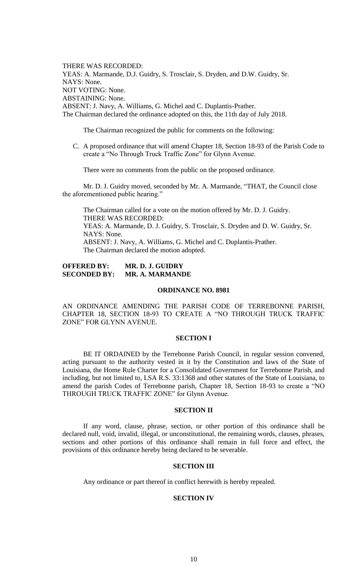THERE WAS RECORDED: YEAS: A. Marmande, D.J. Guidry, S. Trosclair, S. Dryden, and D.W. Guidry, Sr. NAYS: None. NOT VOTING: None. ABSTAINING: None. ABSENT: J. Navy, A. Williams, G. Michel and C. Duplantis-Prather. The Chairman declared the ordinance adopted on this, the 11th day of July 2018.

The Chairman recognized the public for comments on the following:

C. A proposed ordinance that will amend Chapter 18, Section 18-93 of the Parish Code to create a "No Through Truck Traffic Zone" for Glynn Avenue.

There were no comments from the public on the proposed ordinance.

Mr. D. J. Guidry moved, seconded by Mr. A. Marmande, "THAT, the Council close the aforementioned public hearing."

The Chairman called for a vote on the motion offered by Mr. D. J. Guidry. THERE WAS RECORDED: YEAS: A. Marmande, D. J. Guidry, S. Trosclair, S. Dryden and D. W. Guidry, Sr. NAYS: None. ABSENT: J. Navy, A. Williams, G. Michel and C. Duplantis-Prather. The Chairman declared the motion adopted.

# **OFFERED BY: MR. D. J. GUIDRY SECONDED BY: MR. A. MARMANDE**

### **ORDINANCE NO. 8981**

AN ORDINANCE AMENDING THE PARISH CODE OF TERREBONNE PARISH, CHAPTER 18, SECTION 18-93 TO CREATE A "NO THROUGH TRUCK TRAFFIC ZONE" FOR GLYNN AVENUE.

### **SECTION I**

BE IT ORDAINED by the Terrebonne Parish Council, in regular session convened, acting pursuant to the authority vested in it by the Constitution and laws of the State of Louisiana, the Home Rule Charter for a Consolidated Government for Terrebonne Parish, and including, but not limited to, LSA R.S. 33:1368 and other statutes of the State of Louisiana, to amend the parish Codes of Terrebonne parish, Chapter 18, Section 18-93 to create a "NO THROUGH TRUCK TRAFFIC ZONE" for Glynn Avenue.

### **SECTION II**

If any word, clause, phrase, section, or other portion of this ordinance shall be declared null, void, invalid, illegal, or unconstitutional, the remaining words, clauses, phrases, sections and other portions of this ordinance shall remain in full force and effect, the provisions of this ordinance hereby being declared to be severable.

### **SECTION III**

Any ordinance or part thereof in conflict herewith is hereby repealed.

# **SECTION IV**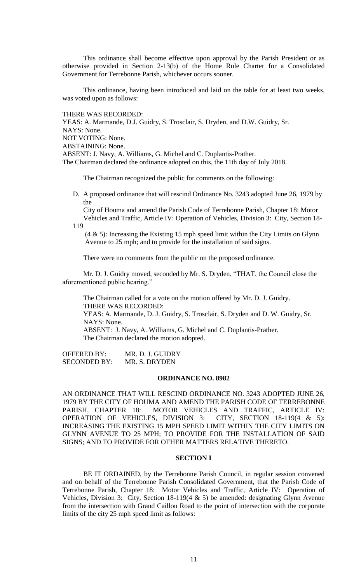This ordinance shall become effective upon approval by the Parish President or as otherwise provided in Section 2-13(b) of the Home Rule Charter for a Consolidated Government for Terrebonne Parish, whichever occurs sooner.

This ordinance, having been introduced and laid on the table for at least two weeks, was voted upon as follows:

THERE WAS RECORDED:

YEAS: A. Marmande, D.J. Guidry, S. Trosclair, S. Dryden, and D.W. Guidry, Sr. NAYS: None. NOT VOTING: None. ABSTAINING: None. ABSENT: J. Navy, A. Williams, G. Michel and C. Duplantis-Prather. The Chairman declared the ordinance adopted on this, the 11th day of July 2018.

The Chairman recognized the public for comments on the following:

D. A proposed ordinance that will rescind Ordinance No. 3243 adopted June 26, 1979 by the

 City of Houma and amend the Parish Code of Terrebonne Parish, Chapter 18: Motor Vehicles and Traffic, Article IV: Operation of Vehicles, Division 3: City, Section 18-

119

 (4 & 5): Increasing the Existing 15 mph speed limit within the City Limits on Glynn Avenue to 25 mph; and to provide for the installation of said signs.

There were no comments from the public on the proposed ordinance.

Mr. D. J. Guidry moved, seconded by Mr. S. Dryden, "THAT, the Council close the aforementioned public hearing."

The Chairman called for a vote on the motion offered by Mr. D. J. Guidry. THERE WAS RECORDED: YEAS: A. Marmande, D. J. Guidry, S. Trosclair, S. Dryden and D. W. Guidry, Sr.

NAYS: None.

ABSENT: J. Navy, A. Williams, G. Michel and C. Duplantis-Prather. The Chairman declared the motion adopted.

OFFERED BY: MR. D. J. GUIDRY SECONDED BY: MR. S. DRYDEN

# **ORDINANCE NO. 8982**

AN ORDINANCE THAT WILL RESCIND ORDINANCE NO. 3243 ADOPTED JUNE 26, 1979 BY THE CITY OF HOUMA AND AMEND THE PARISH CODE OF TERREBONNE PARISH, CHAPTER 18: MOTOR VEHICLES AND TRAFFIC, ARTICLE IV:<br>OPERATION OF VEHICLES, DIVISION 3: CITY, SECTION 18-119(4 & 5): OPERATION OF VEHICLES, DIVISION 3: INCREASING THE EXISTING 15 MPH SPEED LIMIT WITHIN THE CITY LIMITS ON GLYNN AVENUE TO 25 MPH; TO PROVIDE FOR THE INSTALLATION OF SAID SIGNS; AND TO PROVIDE FOR OTHER MATTERS RELATIVE THERETO.

# **SECTION I**

BE IT ORDAINED, by the Terrebonne Parish Council, in regular session convened and on behalf of the Terrebonne Parish Consolidated Government, that the Parish Code of Terrebonne Parish, Chapter 18: Motor Vehicles and Traffic, Article IV: Operation of Vehicles, Division 3: City, Section 18-119(4  $\&$  5) be amended: designating Glynn Avenue from the intersection with Grand Caillou Road to the point of intersection with the corporate limits of the city 25 mph speed limit as follows: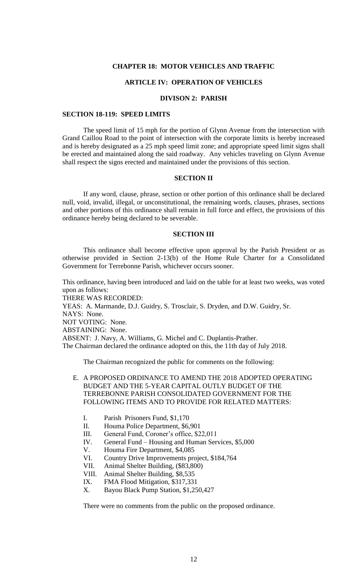#### **CHAPTER 18: MOTOR VEHICLES AND TRAFFIC**

# **ARTICLE IV: OPERATION OF VEHICLES**

# **DIVISON 2: PARISH**

# **SECTION 18-119: SPEED LIMITS**

The speed limit of 15 mph for the portion of Glynn Avenue from the intersection with Grand Caillou Road to the point of intersection with the corporate limits is hereby increased and is hereby designated as a 25 mph speed limit zone; and appropriate speed limit signs shall be erected and maintained along the said roadway. Any vehicles traveling on Glynn Avenue shall respect the signs erected and maintained under the provisions of this section.

#### **SECTION II**

If any word, clause, phrase, section or other portion of this ordinance shall be declared null, void, invalid, illegal, or unconstitutional, the remaining words, clauses, phrases, sections and other portions of this ordinance shall remain in full force and effect, the provisions of this ordinance hereby being declared to be severable.

# **SECTION III**

This ordinance shall become effective upon approval by the Parish President or as otherwise provided in Section 2-13(b) of the Home Rule Charter for a Consolidated Government for Terrebonne Parish, whichever occurs sooner.

This ordinance, having been introduced and laid on the table for at least two weeks, was voted upon as follows: THERE WAS RECORDED: YEAS: A. Marmande, D.J. Guidry, S. Trosclair, S. Dryden, and D.W. Guidry, Sr. NAYS: None. NOT VOTING: None. ABSTAINING: None. ABSENT: J. Navy, A. Williams, G. Michel and C. Duplantis-Prather. The Chairman declared the ordinance adopted on this, the 11th day of July 2018.

The Chairman recognized the public for comments on the following:

- E. A PROPOSED ORDINANCE TO AMEND THE 2018 ADOPTED OPERATING BUDGET AND THE 5-YEAR CAPITAL OUTLY BUDGET OF THE TERREBONNE PARISH CONSOLIDATED GOVERNMENT FOR THE FOLLOWING ITEMS AND TO PROVIDE FOR RELATED MATTERS:
	- I. Parish Prisoners Fund, \$1,170
	- II. Houma Police Department, \$6,901
	- III. General Fund, Coroner's office, \$22,011
	- IV. General Fund Housing and Human Services, \$5,000
	- V. Houma Fire Department, \$4,085
	- VI. Country Drive Improvements project, \$184,764
	- VII. Animal Shelter Building, (\$83,800)
	- VIII. Animal Shelter Building, \$8,535<br>IX. FMA Flood Mitigation \$317.331
	- FMA Flood Mitigation, \$317,331
	- X. Bayou Black Pump Station, \$1,250,427

There were no comments from the public on the proposed ordinance.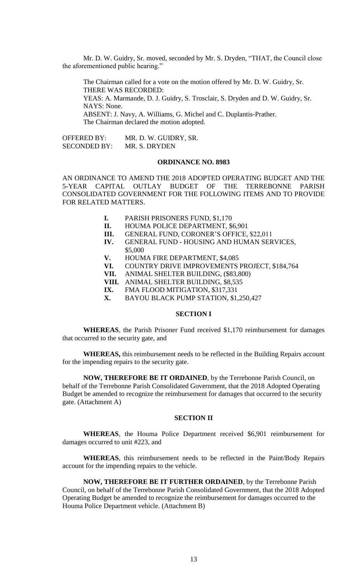Mr. D. W. Guidry, Sr. moved, seconded by Mr. S. Dryden, "THAT, the Council close the aforementioned public hearing."

The Chairman called for a vote on the motion offered by Mr. D. W. Guidry, Sr. THERE WAS RECORDED: YEAS: A. Marmande, D. J. Guidry, S. Trosclair, S. Dryden and D. W. Guidry, Sr. NAYS: None. ABSENT: J. Navy, A. Williams, G. Michel and C. Duplantis-Prather. The Chairman declared the motion adopted.

OFFERED BY: MR. D. W. GUIDRY, SR. SECONDED BY: MR. S. DRYDEN

## **ORDINANCE NO. 8983**

AN ORDINANCE TO AMEND THE 2018 ADOPTED OPERATING BUDGET AND THE 5-YEAR CAPITAL OUTLAY BUDGET OF THE TERREBONNE PARISH CONSOLIDATED GOVERNMENT FOR THE FOLLOWING ITEMS AND TO PROVIDE FOR RELATED MATTERS.

- **I.** PARISH PRISONERS FUND, \$1,170
- **II.** HOUMA POLICE DEPARTMENT, \$6,901
- **III.** GENERAL FUND, CORONER'S OFFICE, \$22,011
- **IV.** GENERAL FUND HOUSING AND HUMAN SERVICES,
- \$5,000
- **V.** HOUMA FIRE DEPARTMENT, \$4,085
- **VI.** COUNTRY DRIVE IMPROVEMENTS PROJECT, \$184,764
- **VII.** ANIMAL SHELTER BUILDING, (\$83,800)
- **VIII.** ANIMAL SHELTER BUILDING, \$8,535
- **IX.** FMA FLOOD MITIGATION, \$317,331
- **X.** BAYOU BLACK PUMP STATION, \$1,250,427

### **SECTION I**

**WHEREAS**, the Parish Prisoner Fund received \$1,170 reimbursement for damages that occurred to the security gate, and

**WHEREAS,** this reimbursement needs to be reflected in the Building Repairs account for the impending repairs to the security gate.

**NOW, THEREFORE BE IT ORDAINED**, by the Terrebonne Parish Council, on behalf of the Terrebonne Parish Consolidated Government, that the 2018 Adopted Operating Budget be amended to recognize the reimbursement for damages that occurred to the security gate. (Attachment A)

#### **SECTION II**

**WHEREAS**, the Houma Police Department received \$6,901 reimbursement for damages occurred to unit #223, and

**WHEREAS**, this reimbursement needs to be reflected in the Paint/Body Repairs account for the impending repairs to the vehicle.

**NOW, THEREFORE BE IT FURTHER ORDAINED**, by the Terrebonne Parish Council, on behalf of the Terrebonne Parish Consolidated Government, that the 2018 Adopted Operating Budget be amended to recognize the reimbursement for damages occurred to the Houma Police Department vehicle. (Attachment B)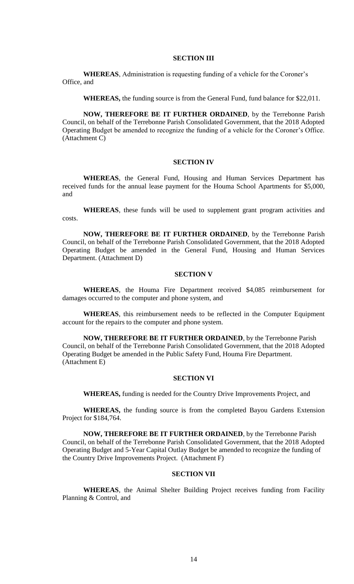### **SECTION III**

**WHEREAS**, Administration is requesting funding of a vehicle for the Coroner's Office, and

**WHEREAS,** the funding source is from the General Fund, fund balance for \$22,011.

**NOW, THEREFORE BE IT FURTHER ORDAINED**, by the Terrebonne Parish Council, on behalf of the Terrebonne Parish Consolidated Government, that the 2018 Adopted Operating Budget be amended to recognize the funding of a vehicle for the Coroner's Office. (Attachment C)

#### **SECTION IV**

**WHEREAS**, the General Fund, Housing and Human Services Department has received funds for the annual lease payment for the Houma School Apartments for \$5,000, and

**WHEREAS**, these funds will be used to supplement grant program activities and costs.

**NOW, THEREFORE BE IT FURTHER ORDAINED**, by the Terrebonne Parish Council, on behalf of the Terrebonne Parish Consolidated Government, that the 2018 Adopted Operating Budget be amended in the General Fund, Housing and Human Services Department. (Attachment D)

### **SECTION V**

**WHEREAS**, the Houma Fire Department received \$4,085 reimbursement for damages occurred to the computer and phone system, and

**WHEREAS**, this reimbursement needs to be reflected in the Computer Equipment account for the repairs to the computer and phone system.

**NOW, THEREFORE BE IT FURTHER ORDAINED**, by the Terrebonne Parish Council, on behalf of the Terrebonne Parish Consolidated Government, that the 2018 Adopted Operating Budget be amended in the Public Safety Fund, Houma Fire Department. (Attachment E)

# **SECTION VI**

**WHEREAS,** funding is needed for the Country Drive Improvements Project, and

**WHEREAS,** the funding source is from the completed Bayou Gardens Extension Project for \$184,764.

**NOW, THEREFORE BE IT FURTHER ORDAINED**, by the Terrebonne Parish Council, on behalf of the Terrebonne Parish Consolidated Government, that the 2018 Adopted Operating Budget and 5-Year Capital Outlay Budget be amended to recognize the funding of the Country Drive Improvements Project. (Attachment F)

### **SECTION VII**

**WHEREAS**, the Animal Shelter Building Project receives funding from Facility Planning & Control, and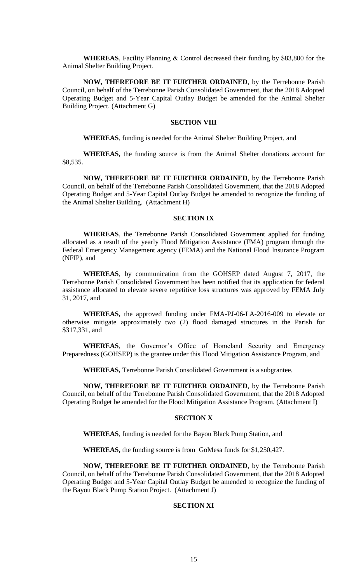**WHEREAS**, Facility Planning & Control decreased their funding by \$83,800 for the Animal Shelter Building Project.

**NOW, THEREFORE BE IT FURTHER ORDAINED**, by the Terrebonne Parish Council, on behalf of the Terrebonne Parish Consolidated Government, that the 2018 Adopted Operating Budget and 5-Year Capital Outlay Budget be amended for the Animal Shelter Building Project. (Attachment G)

### **SECTION VIII**

**WHEREAS**, funding is needed for the Animal Shelter Building Project, and

**WHEREAS,** the funding source is from the Animal Shelter donations account for \$8,535.

**NOW, THEREFORE BE IT FURTHER ORDAINED**, by the Terrebonne Parish Council, on behalf of the Terrebonne Parish Consolidated Government, that the 2018 Adopted Operating Budget and 5-Year Capital Outlay Budget be amended to recognize the funding of the Animal Shelter Building. (Attachment H)

### **SECTION IX**

**WHEREAS**, the Terrebonne Parish Consolidated Government applied for funding allocated as a result of the yearly Flood Mitigation Assistance (FMA) program through the Federal Emergency Management agency (FEMA) and the National Flood Insurance Program (NFIP), and

**WHEREAS**, by communication from the GOHSEP dated August 7, 2017, the Terrebonne Parish Consolidated Government has been notified that its application for federal assistance allocated to elevate severe repetitive loss structures was approved by FEMA July 31, 2017, and

**WHEREAS,** the approved funding under FMA-PJ-06-LA-2016-009 to elevate or otherwise mitigate approximately two (2) flood damaged structures in the Parish for \$317,331, and

**WHEREAS**, the Governor's Office of Homeland Security and Emergency Preparedness (GOHSEP) is the grantee under this Flood Mitigation Assistance Program, and

**WHEREAS,** Terrebonne Parish Consolidated Government is a subgrantee.

**NOW, THEREFORE BE IT FURTHER ORDAINED**, by the Terrebonne Parish Council, on behalf of the Terrebonne Parish Consolidated Government, that the 2018 Adopted Operating Budget be amended for the Flood Mitigation Assistance Program. (Attachment I)

#### **SECTION X**

**WHEREAS**, funding is needed for the Bayou Black Pump Station, and

**WHEREAS,** the funding source is from GoMesa funds for \$1,250,427.

**NOW, THEREFORE BE IT FURTHER ORDAINED**, by the Terrebonne Parish Council, on behalf of the Terrebonne Parish Consolidated Government, that the 2018 Adopted Operating Budget and 5-Year Capital Outlay Budget be amended to recognize the funding of the Bayou Black Pump Station Project. (Attachment J)

# **SECTION XI**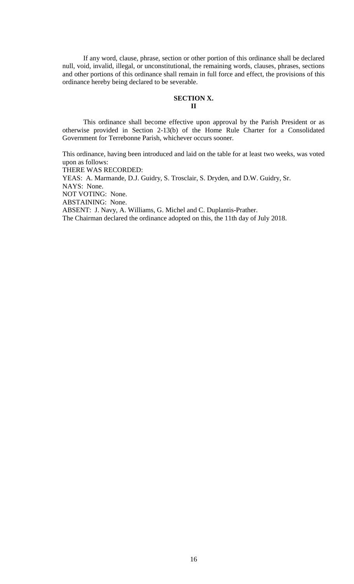If any word, clause, phrase, section or other portion of this ordinance shall be declared null, void, invalid, illegal, or unconstitutional, the remaining words, clauses, phrases, sections and other portions of this ordinance shall remain in full force and effect, the provisions of this ordinance hereby being declared to be severable.

### **SECTION X. II**

This ordinance shall become effective upon approval by the Parish President or as otherwise provided in Section 2-13(b) of the Home Rule Charter for a Consolidated Government for Terrebonne Parish, whichever occurs sooner.

This ordinance, having been introduced and laid on the table for at least two weeks, was voted upon as follows:

THERE WAS RECORDED:

YEAS: A. Marmande, D.J. Guidry, S. Trosclair, S. Dryden, and D.W. Guidry, Sr. NAYS: None. NOT VOTING: None. ABSTAINING: None. ABSENT: J. Navy, A. Williams, G. Michel and C. Duplantis-Prather. The Chairman declared the ordinance adopted on this, the 11th day of July 2018.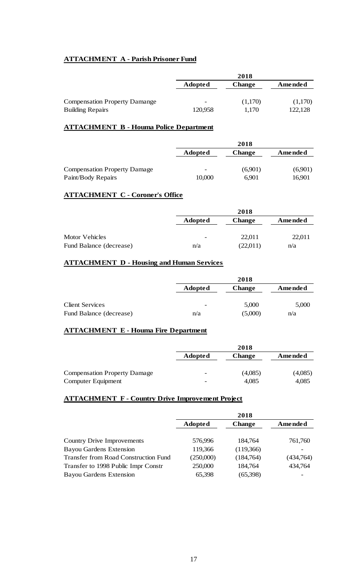# **ATTACHMENT A - Parish Prisoner Fund**

|                                      | 2018                     |               |         |  |  |
|--------------------------------------|--------------------------|---------------|---------|--|--|
|                                      | <b>Adopted</b>           | <b>Change</b> | Amended |  |  |
| <b>Compensation Property Damange</b> | $\overline{\phantom{0}}$ | (1,170)       | (1,170) |  |  |
| <b>Building Repairs</b>              | 120,958                  | 1.170         | 122,128 |  |  |

# **ATTACHMENT B - Houma Police Department**

|                                     | 2018                     |               |         |  |  |
|-------------------------------------|--------------------------|---------------|---------|--|--|
|                                     | <b>Adopted</b>           | <b>Change</b> | Amended |  |  |
|                                     |                          |               |         |  |  |
| <b>Compensation Property Damage</b> | $\overline{\phantom{0}}$ | (6,901)       | (6,901) |  |  |
| Paint/Body Repairs                  | 10,000                   | 6.901         | 16,901  |  |  |

# **ATTACHMENT C - Coroner's Office**

|                         |                          | 2018          |         |
|-------------------------|--------------------------|---------------|---------|
|                         | <b>Adopted</b>           | <b>Change</b> | Amended |
|                         |                          |               |         |
| Motor Vehicles          | $\overline{\phantom{0}}$ | 22,011        | 22,011  |
| Fund Balance (decrease) | n/a                      | (22,011)      | n/a     |

# **ATTACHMENT D - Housing and Human Services**

|                         |                          | 2018          |         |
|-------------------------|--------------------------|---------------|---------|
|                         | <b>Adopted</b>           | <b>Change</b> | Amended |
|                         |                          |               |         |
| <b>Client Services</b>  | $\overline{\phantom{0}}$ | 5,000         | 5,000   |
| Fund Balance (decrease) | n/a                      | (5,000)       | n/a     |

# **ATTACHMENT E - Houma Fire Department**

|                                     | 2018                         |               |                |
|-------------------------------------|------------------------------|---------------|----------------|
|                                     | <b>Adopted</b>               | <b>Change</b> | <b>Amended</b> |
| <b>Compensation Property Damage</b> | $\qquad \qquad \blacksquare$ | (4,085)       | (4,085)        |
| Computer Equipment                  | $\qquad \qquad$              | 4,085         | 4,085          |

# **ATTACHMENT F - Country Drive Improvement Project**

|                                             | 2018           |               |           |
|---------------------------------------------|----------------|---------------|-----------|
|                                             | <b>Adopted</b> | <b>Change</b> | Amended   |
|                                             |                |               |           |
| <b>Country Drive Improvements</b>           | 576,996        | 184,764       | 761,760   |
| <b>Bayou Gardens Extension</b>              | 119,366        | (119,366)     |           |
| <b>Transfer from Road Construction Fund</b> | (250,000)      | (184,764)     | (434,764) |
| Transfer to 1998 Public Impr Constr         | 250,000        | 184,764       | 434,764   |
| <b>Bayou Gardens Extension</b>              | 65,398         | (65,398)      |           |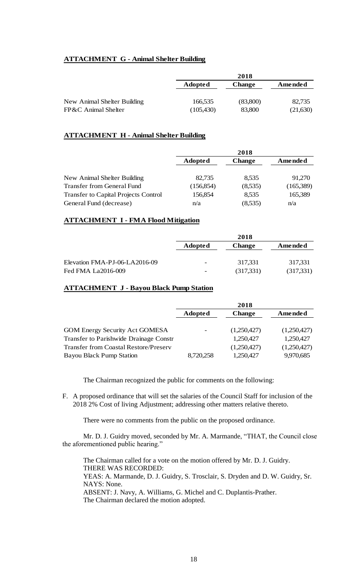# **ATTACHMENT G - Animal Shelter Building**

| 2018           |               |          |
|----------------|---------------|----------|
| <b>Adopted</b> | <b>Change</b> | Amended  |
|                |               |          |
| 166,535        | (83,800)      | 82,735   |
| (105, 430)     | 83,800        | (21,630) |
|                |               |          |

# **ATTACHMENT H - Animal Shelter Building**

|                                             | 2018           |               |           |  |  |
|---------------------------------------------|----------------|---------------|-----------|--|--|
|                                             | <b>Adopted</b> | <b>Change</b> | Amended   |  |  |
| New Animal Shelter Building                 | 82,735         | 8,535         | 91,270    |  |  |
| Transfer from General Fund                  | (156, 854)     | (8,535)       | (165,389) |  |  |
| <b>Transfer to Capital Projects Control</b> | 156,854        | 8,535         | 165,389   |  |  |
| General Fund (decrease)                     | n/a            | (8,535)       | n/a       |  |  |

# **ATTACHMENT I - FMA Flood Mitigation**

|                               | 2018                     |            |           |  |  |
|-------------------------------|--------------------------|------------|-----------|--|--|
|                               | <b>Adopted</b>           | Change     | Amended   |  |  |
| Elevation FMA-PJ-06-LA2016-09 | $\overline{\phantom{0}}$ | 317.331    | 317,331   |  |  |
| Fed FMA La2016-009            | $\overline{\phantom{a}}$ | (317, 331) | (317,331) |  |  |

# **ATTACHMENT J - Bayou Black Pump Station**

|                                              | 2018                     |               |             |
|----------------------------------------------|--------------------------|---------------|-------------|
|                                              | <b>Adopted</b>           | <b>Change</b> | Amended     |
|                                              |                          |               |             |
| <b>GOM Energy Security Act GOMESA</b>        | $\overline{\phantom{a}}$ | (1,250,427)   | (1,250,427) |
| Transfer to Parishwide Drainage Constr       |                          | 1,250,427     | 1,250,427   |
| <b>Transfer from Coastal Restore/Preserv</b> |                          | (1,250,427)   | (1,250,427) |
| <b>Bayou Black Pump Station</b>              | 8,720,258                | 1,250,427     | 9,970,685   |

The Chairman recognized the public for comments on the following:

F. A proposed ordinance that will set the salaries of the Council Staff for inclusion of the 2018 2% Cost of living Adjustment; addressing other matters relative thereto.

There were no comments from the public on the proposed ordinance.

Mr. D. J. Guidry moved, seconded by Mr. A. Marmande, "THAT, the Council close the aforementioned public hearing."

The Chairman called for a vote on the motion offered by Mr. D. J. Guidry. THERE WAS RECORDED: YEAS: A. Marmande, D. J. Guidry, S. Trosclair, S. Dryden and D. W. Guidry, Sr. NAYS: None. ABSENT: J. Navy, A. Williams, G. Michel and C. Duplantis-Prather.

The Chairman declared the motion adopted.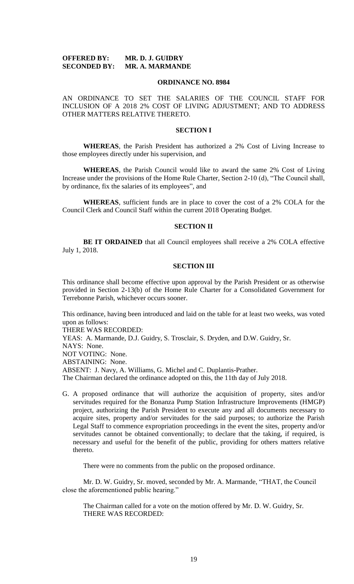# **OFFERED BY: MR. D. J. GUIDRY SECONDED BY: MR. A. MARMANDE**

#### **ORDINANCE NO. 8984**

AN ORDINANCE TO SET THE SALARIES OF THE COUNCIL STAFF FOR INCLUSION OF A 2018 2% COST OF LIVING ADJUSTMENT; AND TO ADDRESS OTHER MATTERS RELATIVE THERETO.

### **SECTION I**

**WHEREAS**, the Parish President has authorized a 2% Cost of Living Increase to those employees directly under his supervision, and

**WHEREAS**, the Parish Council would like to award the same 2% Cost of Living Increase under the provisions of the Home Rule Charter, Section 2-10 (d), "The Council shall, by ordinance, fix the salaries of its employees", and

**WHEREAS**, sufficient funds are in place to cover the cost of a 2% COLA for the Council Clerk and Council Staff within the current 2018 Operating Budget.

#### **SECTION II**

**BE IT ORDAINED** that all Council employees shall receive a 2% COLA effective July 1, 2018.

# **SECTION III**

This ordinance shall become effective upon approval by the Parish President or as otherwise provided in Section 2-13(b) of the Home Rule Charter for a Consolidated Government for Terrebonne Parish, whichever occurs sooner.

This ordinance, having been introduced and laid on the table for at least two weeks, was voted upon as follows:

THERE WAS RECORDED:

YEAS: A. Marmande, D.J. Guidry, S. Trosclair, S. Dryden, and D.W. Guidry, Sr. NAYS: None. NOT VOTING: None. ABSTAINING: None. ABSENT: J. Navy, A. Williams, G. Michel and C. Duplantis-Prather. The Chairman declared the ordinance adopted on this, the 11th day of July 2018.

G. A proposed ordinance that will authorize the acquisition of property, sites and/or servitudes required for the Bonanza Pump Station Infrastructure Improvements (HMGP) project, authorizing the Parish President to execute any and all documents necessary to acquire sites, property and/or servitudes for the said purposes; to authorize the Parish Legal Staff to commence expropriation proceedings in the event the sites, property and/or servitudes cannot be obtained conventionally; to declare that the taking, if required, is necessary and useful for the benefit of the public, providing for others matters relative thereto.

There were no comments from the public on the proposed ordinance.

Mr. D. W. Guidry, Sr. moved, seconded by Mr. A. Marmande, "THAT, the Council close the aforementioned public hearing."

The Chairman called for a vote on the motion offered by Mr. D. W. Guidry, Sr. THERE WAS RECORDED: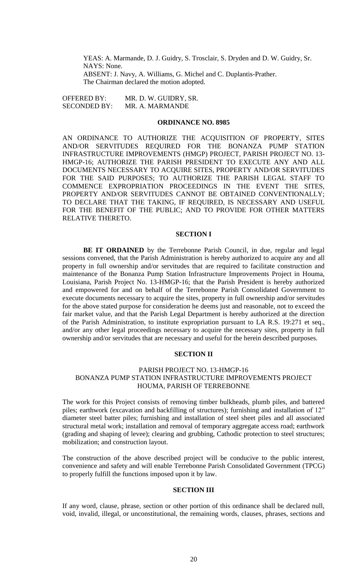YEAS: A. Marmande, D. J. Guidry, S. Trosclair, S. Dryden and D. W. Guidry, Sr. NAYS: None. ABSENT: J. Navy, A. Williams, G. Michel and C. Duplantis-Prather. The Chairman declared the motion adopted.

OFFERED BY: MR. D. W. GUIDRY, SR. SECONDED BY: MR. A. MARMANDE

### **ORDINANCE NO. 8985**

AN ORDINANCE TO AUTHORIZE THE ACQUISITION OF PROPERTY, SITES AND/OR SERVITUDES REQUIRED FOR THE BONANZA PUMP STATION INFRASTRUCTURE IMPROVEMENTS (HMGP) PROJECT, PARISH PROJECT NO. 13- HMGP-16; AUTHORIZE THE PARISH PRESIDENT TO EXECUTE ANY AND ALL DOCUMENTS NECESSARY TO ACQUIRE SITES, PROPERTY AND/OR SERVITUDES FOR THE SAID PURPOSES; TO AUTHORIZE THE PARISH LEGAL STAFF TO COMMENCE EXPROPRIATION PROCEEDINGS IN THE EVENT THE SITES, PROPERTY AND/OR SERVITUDES CANNOT BE OBTAINED CONVENTIONALLY; TO DECLARE THAT THE TAKING, IF REQUIRED, IS NECESSARY AND USEFUL FOR THE BENEFIT OF THE PUBLIC; AND TO PROVIDE FOR OTHER MATTERS RELATIVE THERETO.

#### **SECTION I**

**BE IT ORDAINED** by the Terrebonne Parish Council, in due, regular and legal sessions convened, that the Parish Administration is hereby authorized to acquire any and all property in full ownership and/or servitudes that are required to facilitate construction and maintenance of the Bonanza Pump Station Infrastructure Improvements Project in Houma, Louisiana, Parish Project No. 13-HMGP-16; that the Parish President is hereby authorized and empowered for and on behalf of the Terrebonne Parish Consolidated Government to execute documents necessary to acquire the sites, property in full ownership and/or servitudes for the above stated purpose for consideration he deems just and reasonable, not to exceed the fair market value, and that the Parish Legal Department is hereby authorized at the direction of the Parish Administration, to institute expropriation pursuant to LA R.S. 19:271 et seq., and/or any other legal proceedings necessary to acquire the necessary sites, property in full ownership and/or servitudes that are necessary and useful for the herein described purposes.

#### **SECTION II**

# PARISH PROJECT NO. 13-HMGP-16 BONANZA PUMP STATION INFRASTRUCTURE IMPROVEMENTS PROJECT HOUMA, PARISH OF TERREBONNE

The work for this Project consists of removing timber bulkheads, plumb piles, and battered piles; earthwork (excavation and backfilling of structures); furnishing and installation of 12" diameter steel batter piles; furnishing and installation of steel sheet piles and all associated structural metal work; installation and removal of temporary aggregate access road; earthwork (grading and shaping of levee); clearing and grubbing, Cathodic protection to steel structures; mobilization; and construction layout.

The construction of the above described project will be conducive to the public interest, convenience and safety and will enable Terrebonne Parish Consolidated Government (TPCG) to properly fulfill the functions imposed upon it by law.

#### **SECTION III**

If any word, clause, phrase, section or other portion of this ordinance shall be declared null, void, invalid, illegal, or unconstitutional, the remaining words, clauses, phrases, sections and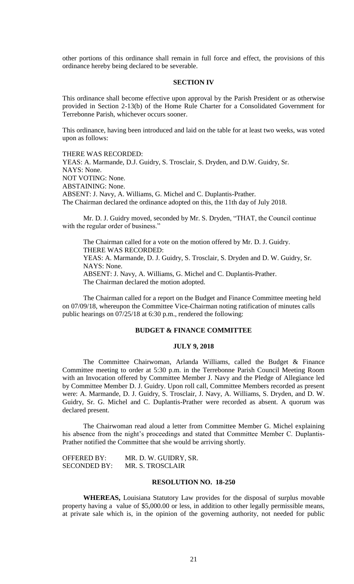other portions of this ordinance shall remain in full force and effect, the provisions of this ordinance hereby being declared to be severable.

#### **SECTION IV**

This ordinance shall become effective upon approval by the Parish President or as otherwise provided in Section 2-13(b) of the Home Rule Charter for a Consolidated Government for Terrebonne Parish, whichever occurs sooner.

This ordinance, having been introduced and laid on the table for at least two weeks, was voted upon as follows:

#### THERE WAS RECORDED:

YEAS: A. Marmande, D.J. Guidry, S. Trosclair, S. Dryden, and D.W. Guidry, Sr. NAYS: None. NOT VOTING: None. ABSTAINING: None. ABSENT: J. Navy, A. Williams, G. Michel and C. Duplantis-Prather. The Chairman declared the ordinance adopted on this, the 11th day of July 2018.

Mr. D. J. Guidry moved, seconded by Mr. S. Dryden, "THAT, the Council continue with the regular order of business."

The Chairman called for a vote on the motion offered by Mr. D. J. Guidry. THERE WAS RECORDED: YEAS: A. Marmande, D. J. Guidry, S. Trosclair, S. Dryden and D. W. Guidry, Sr. NAYS: None. ABSENT: J. Navy, A. Williams, G. Michel and C. Duplantis-Prather. The Chairman declared the motion adopted.

The Chairman called for a report on the Budget and Finance Committee meeting held on 07/09/18, whereupon the Committee Vice-Chairman noting ratification of minutes calls public hearings on 07/25/18 at 6:30 p.m., rendered the following:

# **BUDGET & FINANCE COMMITTEE**

### **JULY 9, 2018**

The Committee Chairwoman, Arlanda Williams, called the Budget & Finance Committee meeting to order at 5:30 p.m. in the Terrebonne Parish Council Meeting Room with an Invocation offered by Committee Member J. Navy and the Pledge of Allegiance led by Committee Member D. J. Guidry. Upon roll call, Committee Members recorded as present were: A. Marmande, D. J. Guidry, S. Trosclair, J. Navy, A. Williams, S. Dryden, and D. W. Guidry, Sr. G. Michel and C. Duplantis-Prather were recorded as absent. A quorum was declared present.

The Chairwoman read aloud a letter from Committee Member G. Michel explaining his absence from the night's proceedings and stated that Committee Member C. Duplantis-Prather notified the Committee that she would be arriving shortly.

OFFERED BY: MR. D. W. GUIDRY, SR. SECONDED BY: MR. S. TROSCLAIR

#### **RESOLUTION NO. 18-250**

**WHEREAS,** Louisiana Statutory Law provides for the disposal of surplus movable property having a value of \$5,000.00 or less, in addition to other legally permissible means, at private sale which is, in the opinion of the governing authority, not needed for public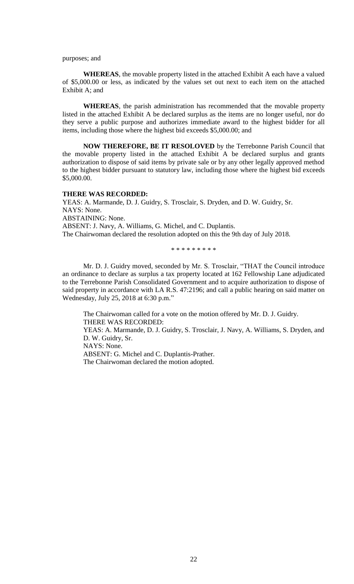purposes; and

**WHEREAS**, the movable property listed in the attached Exhibit A each have a valued of \$5,000.00 or less, as indicated by the values set out next to each item on the attached Exhibit A; and

**WHEREAS**, the parish administration has recommended that the movable property listed in the attached Exhibit A be declared surplus as the items are no longer useful, nor do they serve a public purpose and authorizes immediate award to the highest bidder for all items, including those where the highest bid exceeds \$5,000.00; and

**NOW THEREFORE, BE IT RESOLOVED** by the Terrebonne Parish Council that the movable property listed in the attached Exhibit A be declared surplus and grants authorization to dispose of said items by private sale or by any other legally approved method to the highest bidder pursuant to statutory law, including those where the highest bid exceeds \$5,000.00.

#### **THERE WAS RECORDED:**

YEAS: A. Marmande, D. J. Guidry, S. Trosclair, S. Dryden, and D. W. Guidry, Sr. NAYS: None. ABSTAINING: None. ABSENT: J. Navy, A. Williams, G. Michel, and C. Duplantis. The Chairwoman declared the resolution adopted on this the 9th day of July 2018.

\* \* \* \* \* \* \* \* \*

Mr. D. J. Guidry moved, seconded by Mr. S. Trosclair, "THAT the Council introduce an ordinance to declare as surplus a tax property located at 162 Fellowship Lane adjudicated to the Terrebonne Parish Consolidated Government and to acquire authorization to dispose of said property in accordance with LA R.S. 47:2196; and call a public hearing on said matter on Wednesday, July 25, 2018 at 6:30 p.m."

The Chairwoman called for a vote on the motion offered by Mr. D. J. Guidry. THERE WAS RECORDED: YEAS: A. Marmande, D. J. Guidry, S. Trosclair, J. Navy, A. Williams, S. Dryden, and D. W. Guidry, Sr. NAYS: None. ABSENT: G. Michel and C. Duplantis-Prather. The Chairwoman declared the motion adopted.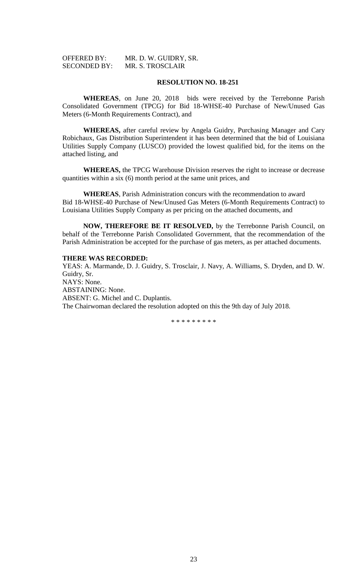| <b>OFFERED BY:</b>  | MR. D. W. GUIDRY, SR. |
|---------------------|-----------------------|
| <b>SECONDED BY:</b> | MR. S. TROSCLAIR      |

# **RESOLUTION NO. 18-251**

**WHEREAS**, on June 20, 2018 bids were received by the Terrebonne Parish Consolidated Government (TPCG) for Bid 18-WHSE-40 Purchase of New/Unused Gas Meters (6-Month Requirements Contract), and

**WHEREAS,** after careful review by Angela Guidry, Purchasing Manager and Cary Robichaux, Gas Distribution Superintendent it has been determined that the bid of Louisiana Utilities Supply Company (LUSCO) provided the lowest qualified bid, for the items on the attached listing, and

**WHEREAS,** the TPCG Warehouse Division reserves the right to increase or decrease quantities within a six (6) month period at the same unit prices, and

**WHEREAS**, Parish Administration concurs with the recommendation to award Bid 18-WHSE-40 Purchase of New/Unused Gas Meters (6-Month Requirements Contract) to Louisiana Utilities Supply Company as per pricing on the attached documents, and

**NOW, THEREFORE BE IT RESOLVED,** by the Terrebonne Parish Council, on behalf of the Terrebonne Parish Consolidated Government, that the recommendation of the Parish Administration be accepted for the purchase of gas meters, as per attached documents.

#### **THERE WAS RECORDED:**

YEAS: A. Marmande, D. J. Guidry, S. Trosclair, J. Navy, A. Williams, S. Dryden, and D. W. Guidry, Sr. NAYS: None. ABSTAINING: None. ABSENT: G. Michel and C. Duplantis. The Chairwoman declared the resolution adopted on this the 9th day of July 2018.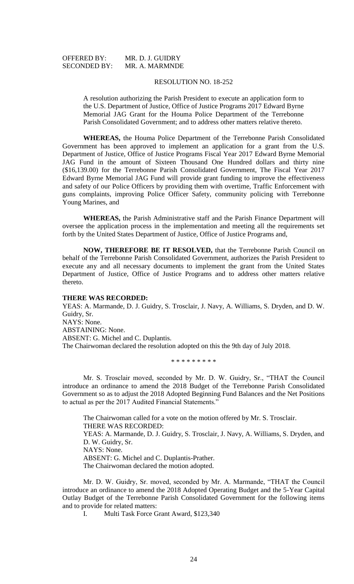| <b>OFFERED BY:</b>  | MR. D. J. GUIDRY |
|---------------------|------------------|
| <b>SECONDED BY:</b> | MR. A. MARMNDE   |

#### RESOLUTION NO. 18-252

A resolution authorizing the Parish President to execute an application form to the U.S. Department of Justice, Office of Justice Programs 2017 Edward Byrne Memorial JAG Grant for the Houma Police Department of the Terrebonne Parish Consolidated Government; and to address other matters relative thereto.

**WHEREAS,** the Houma Police Department of the Terrebonne Parish Consolidated Government has been approved to implement an application for a grant from the U.S. Department of Justice, Office of Justice Programs Fiscal Year 2017 Edward Byrne Memorial JAG Fund in the amount of Sixteen Thousand One Hundred dollars and thirty nine (\$16,139.00) for the Terrebonne Parish Consolidated Government, The Fiscal Year 2017 Edward Byrne Memorial JAG Fund will provide grant funding to improve the effectiveness and safety of our Police Officers by providing them with overtime, Traffic Enforcement with guns complaints, improving Police Officer Safety, community policing with Terrebonne Young Marines, and

**WHEREAS,** the Parish Administrative staff and the Parish Finance Department will oversee the application process in the implementation and meeting all the requirements set forth by the United States Department of Justice, Office of Justice Programs and,

**NOW, THEREFORE BE IT RESOLVED,** that the Terrebonne Parish Council on behalf of the Terrebonne Parish Consolidated Government, authorizes the Parish President to execute any and all necessary documents to implement the grant from the United States Department of Justice, Office of Justice Programs and to address other matters relative thereto.

#### **THERE WAS RECORDED:**

YEAS: A. Marmande, D. J. Guidry, S. Trosclair, J. Navy, A. Williams, S. Dryden, and D. W. Guidry, Sr. NAYS: None. ABSTAINING: None. ABSENT: G. Michel and C. Duplantis. The Chairwoman declared the resolution adopted on this the 9th day of July 2018.

\* \* \* \* \* \* \* \* \*

Mr. S. Trosclair moved, seconded by Mr. D. W. Guidry, Sr., "THAT the Council introduce an ordinance to amend the 2018 Budget of the Terrebonne Parish Consolidated Government so as to adjust the 2018 Adopted Beginning Fund Balances and the Net Positions to actual as per the 2017 Audited Financial Statements."

The Chairwoman called for a vote on the motion offered by Mr. S. Trosclair. THERE WAS RECORDED: YEAS: A. Marmande, D. J. Guidry, S. Trosclair, J. Navy, A. Williams, S. Dryden, and D. W. Guidry, Sr. NAYS: None. ABSENT: G. Michel and C. Duplantis-Prather. The Chairwoman declared the motion adopted.

Mr. D. W. Guidry, Sr. moved, seconded by Mr. A. Marmande, "THAT the Council introduce an ordinance to amend the 2018 Adopted Operating Budget and the 5-Year Capital Outlay Budget of the Terrebonne Parish Consolidated Government for the following items and to provide for related matters:

I. Multi Task Force Grant Award, \$123,340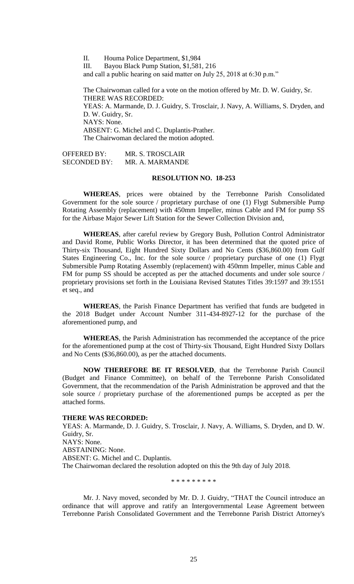II. Houma Police Department, \$1,984

III. Bayou Black Pump Station, \$1,581, 216

and call a public hearing on said matter on July 25, 2018 at 6:30 p.m."

The Chairwoman called for a vote on the motion offered by Mr. D. W. Guidry, Sr. THERE WAS RECORDED: YEAS: A. Marmande, D. J. Guidry, S. Trosclair, J. Navy, A. Williams, S. Dryden, and D. W. Guidry, Sr. NAYS: None. ABSENT: G. Michel and C. Duplantis-Prather. The Chairwoman declared the motion adopted.

OFFERED BY: MR. S. TROSCLAIR SECONDED BY: MR. A. MARMANDE

## **RESOLUTION NO. 18-253**

**WHEREAS**, prices were obtained by the Terrebonne Parish Consolidated Government for the sole source / proprietary purchase of one (1) Flygt Submersible Pump Rotating Assembly (replacement) with 450mm Impeller, minus Cable and FM for pump SS for the Airbase Major Sewer Lift Station for the Sewer Collection Division and,

**WHEREAS**, after careful review by Gregory Bush, Pollution Control Administrator and David Rome, Public Works Director, it has been determined that the quoted price of Thirty-six Thousand, Eight Hundred Sixty Dollars and No Cents (\$36,860.00) from Gulf States Engineering Co., Inc. for the sole source / proprietary purchase of one (1) Flygt Submersible Pump Rotating Assembly (replacement) with 450mm Impeller, minus Cable and FM for pump SS should be accepted as per the attached documents and under sole source / proprietary provisions set forth in the Louisiana Revised Statutes Titles 39:1597 and 39:1551 et seq., and

**WHEREAS**, the Parish Finance Department has verified that funds are budgeted in the 2018 Budget under Account Number 311-434-8927-12 for the purchase of the aforementioned pump, and

**WHEREAS**, the Parish Administration has recommended the acceptance of the price for the aforementioned pump at the cost of Thirty-six Thousand, Eight Hundred Sixty Dollars and No Cents (\$36,860.00), as per the attached documents.

**NOW THEREFORE BE IT RESOLVED**, that the Terrebonne Parish Council (Budget and Finance Committee), on behalf of the Terrebonne Parish Consolidated Government, that the recommendation of the Parish Administration be approved and that the sole source / proprietary purchase of the aforementioned pumps be accepted as per the attached forms.

#### **THERE WAS RECORDED:**

YEAS: A. Marmande, D. J. Guidry, S. Trosclair, J. Navy, A. Williams, S. Dryden, and D. W. Guidry, Sr. NAYS: None. ABSTAINING: None. ABSENT: G. Michel and C. Duplantis. The Chairwoman declared the resolution adopted on this the 9th day of July 2018.

\* \* \* \* \* \* \* \* \*

Mr. J. Navy moved, seconded by Mr. D. J. Guidry, "THAT the Council introduce an ordinance that will approve and ratify an Intergovernmental Lease Agreement between Terrebonne Parish Consolidated Government and the Terrebonne Parish District Attorney's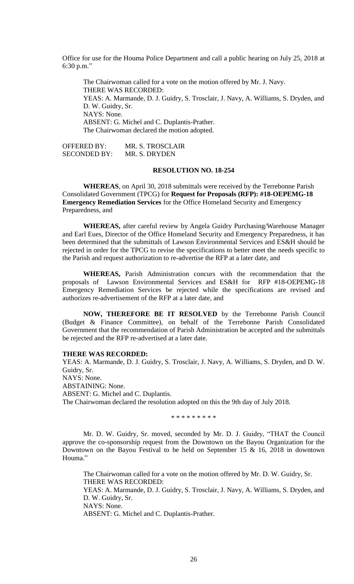Office for use for the Houma Police Department and call a public hearing on July 25, 2018 at 6:30 p.m."

The Chairwoman called for a vote on the motion offered by Mr. J. Navy. THERE WAS RECORDED: YEAS: A. Marmande, D. J. Guidry, S. Trosclair, J. Navy, A. Williams, S. Dryden, and D. W. Guidry, Sr. NAYS: None. ABSENT: G. Michel and C. Duplantis-Prather. The Chairwoman declared the motion adopted.

OFFERED BY: MR. S. TROSCLAIR SECONDED BY: MR. S. DRYDEN

# **RESOLUTION NO. 18-254**

**WHEREAS**, on April 30, 2018 submittals were received by the Terrebonne Parish Consolidated Government (TPCG) for **Request for Proposals (RFP): #18-OEPEMG-18 Emergency Remediation Services** for the Office Homeland Security and Emergency Preparedness, and

**WHEREAS,** after careful review by Angela Guidry Purchasing/Warehouse Manager and Earl Eues, Director of the Office Homeland Security and Emergency Preparedness, it has been determined that the submittals of Lawson Environmental Services and ES&H should be rejected in order for the TPCG to revise the specifications to better meet the needs specific to the Parish and request authorization to re-advertise the RFP at a later date, and

**WHEREAS,** Parish Administration concurs with the recommendation that the proposals of Lawson Environmental Services and ES&H for RFP #18-OEPEMG-18 Emergency Remediation Services be rejected while the specifications are revised and authorizes re-advertisement of the RFP at a later date, and

**NOW, THEREFORE BE IT RESOLVED** by the Terrebonne Parish Council (Budget & Finance Committee), on behalf of the Terrebonne Parish Consolidated Government that the recommendation of Parish Administration be accepted and the submittals be rejected and the RFP re-advertised at a later date.

# **THERE WAS RECORDED:**

YEAS: A. Marmande, D. J. Guidry, S. Trosclair, J. Navy, A. Williams, S. Dryden, and D. W. Guidry, Sr. NAYS: None. ABSTAINING: None. ABSENT: G. Michel and C. Duplantis. The Chairwoman declared the resolution adopted on this the 9th day of July 2018.

\* \* \* \* \* \* \* \* \*

Mr. D. W. Guidry, Sr. moved, seconded by Mr. D. J. Guidry, "THAT the Council approve the co-sponsorship request from the Downtown on the Bayou Organization for the Downtown on the Bayou Festival to be held on September 15 & 16, 2018 in downtown Houma."

The Chairwoman called for a vote on the motion offered by Mr. D. W. Guidry, Sr. THERE WAS RECORDED: YEAS: A. Marmande, D. J. Guidry, S. Trosclair, J. Navy, A. Williams, S. Dryden, and D. W. Guidry, Sr. NAYS: None. ABSENT: G. Michel and C. Duplantis-Prather.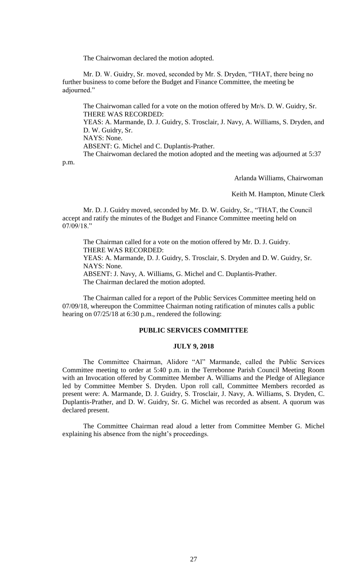The Chairwoman declared the motion adopted.

Mr. D. W. Guidry, Sr. moved, seconded by Mr. S. Dryden, "THAT, there being no further business to come before the Budget and Finance Committee, the meeting be adjourned."

The Chairwoman called for a vote on the motion offered by Mr/s. D. W. Guidry, Sr. THERE WAS RECORDED:

YEAS: A. Marmande, D. J. Guidry, S. Trosclair, J. Navy, A. Williams, S. Dryden, and D. W. Guidry, Sr.

NAYS: None.

ABSENT: G. Michel and C. Duplantis-Prather.

The Chairwoman declared the motion adopted and the meeting was adjourned at 5:37 p.m.

Arlanda Williams, Chairwoman

Keith M. Hampton, Minute Clerk

Mr. D. J. Guidry moved, seconded by Mr. D. W. Guidry, Sr., "THAT, the Council accept and ratify the minutes of the Budget and Finance Committee meeting held on 07/09/18."

The Chairman called for a vote on the motion offered by Mr. D. J. Guidry. THERE WAS RECORDED:

YEAS: A. Marmande, D. J. Guidry, S. Trosclair, S. Dryden and D. W. Guidry, Sr. NAYS: None.

ABSENT: J. Navy, A. Williams, G. Michel and C. Duplantis-Prather. The Chairman declared the motion adopted.

The Chairman called for a report of the Public Services Committee meeting held on 07/09/18, whereupon the Committee Chairman noting ratification of minutes calls a public hearing on 07/25/18 at 6:30 p.m., rendered the following:

# **PUBLIC SERVICES COMMITTEE**

### **JULY 9, 2018**

The Committee Chairman, Alidore "Al" Marmande, called the Public Services Committee meeting to order at 5:40 p.m. in the Terrebonne Parish Council Meeting Room with an Invocation offered by Committee Member A. Williams and the Pledge of Allegiance led by Committee Member S. Dryden. Upon roll call, Committee Members recorded as present were: A. Marmande, D. J. Guidry, S. Trosclair, J. Navy, A. Williams, S. Dryden, C. Duplantis-Prather, and D. W. Guidry, Sr. G. Michel was recorded as absent. A quorum was declared present.

The Committee Chairman read aloud a letter from Committee Member G. Michel explaining his absence from the night's proceedings.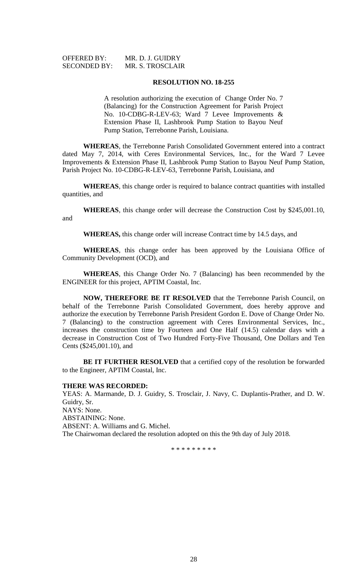#### **RESOLUTION NO. 18-255**

A resolution authorizing the execution of Change Order No. 7 (Balancing) for the Construction Agreement for Parish Project No. 10-CDBG-R-LEV-63; Ward 7 Levee Improvements & Extension Phase II, Lashbrook Pump Station to Bayou Neuf Pump Station, Terrebonne Parish, Louisiana.

**WHEREAS**, the Terrebonne Parish Consolidated Government entered into a contract dated May 7, 2014, with Ceres Environmental Services, Inc., for the Ward 7 Levee Improvements & Extension Phase II, Lashbrook Pump Station to Bayou Neuf Pump Station, Parish Project No. 10-CDBG-R-LEV-63, Terrebonne Parish, Louisiana, and

**WHEREAS**, this change order is required to balance contract quantities with installed quantities, and

**WHEREAS**, this change order will decrease the Construction Cost by \$245,001.10, and

**WHEREAS,** this change order will increase Contract time by 14.5 days, and

**WHEREAS**, this change order has been approved by the Louisiana Office of Community Development (OCD), and

**WHEREAS**, this Change Order No. 7 (Balancing) has been recommended by the ENGINEER for this project, APTIM Coastal, Inc.

**NOW, THEREFORE BE IT RESOLVED** that the Terrebonne Parish Council, on behalf of the Terrebonne Parish Consolidated Government, does hereby approve and authorize the execution by Terrebonne Parish President Gordon E. Dove of Change Order No. 7 (Balancing) to the construction agreement with Ceres Environmental Services, Inc., increases the construction time by Fourteen and One Half (14.5) calendar days with a decrease in Construction Cost of Two Hundred Forty-Five Thousand, One Dollars and Ten Cents (\$245,001.10), and

**BE IT FURTHER RESOLVED** that a certified copy of the resolution be forwarded to the Engineer, APTIM Coastal, Inc.

#### **THERE WAS RECORDED:**

YEAS: A. Marmande, D. J. Guidry, S. Trosclair, J. Navy, C. Duplantis-Prather, and D. W. Guidry, Sr. NAYS: None. ABSTAINING: None. ABSENT: A. Williams and G. Michel. The Chairwoman declared the resolution adopted on this the 9th day of July 2018.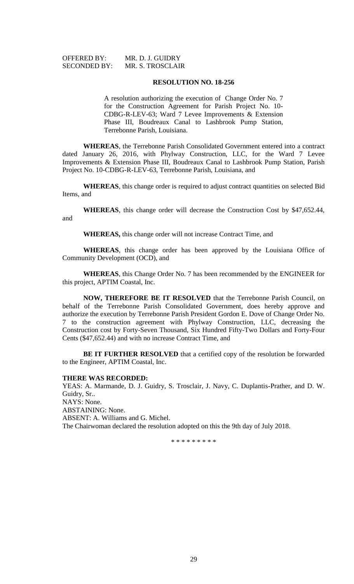| <b>OFFERED BY:</b>  |  |
|---------------------|--|
| <b>SECONDED BY:</b> |  |

MR. D. J. GUIDRY MR. S. TROSCLAIR

#### **RESOLUTION NO. 18-256**

A resolution authorizing the execution of Change Order No. 7 for the Construction Agreement for Parish Project No. 10- CDBG-R-LEV-63; Ward 7 Levee Improvements & Extension Phase III, Boudreaux Canal to Lashbrook Pump Station, Terrebonne Parish, Louisiana.

**WHEREAS**, the Terrebonne Parish Consolidated Government entered into a contract dated January 26, 2016, with Phylway Construction, LLC, for the Ward 7 Levee Improvements & Extension Phase III, Boudreaux Canal to Lashbrook Pump Station, Parish Project No. 10-CDBG-R-LEV-63, Terrebonne Parish, Louisiana, and

**WHEREAS**, this change order is required to adjust contract quantities on selected Bid Items, and

**WHEREAS**, this change order will decrease the Construction Cost by \$47,652.44, and

**WHEREAS,** this change order will not increase Contract Time, and

**WHEREAS**, this change order has been approved by the Louisiana Office of Community Development (OCD), and

**WHEREAS**, this Change Order No. 7 has been recommended by the ENGINEER for this project, APTIM Coastal, Inc.

**NOW, THEREFORE BE IT RESOLVED** that the Terrebonne Parish Council, on behalf of the Terrebonne Parish Consolidated Government, does hereby approve and authorize the execution by Terrebonne Parish President Gordon E. Dove of Change Order No. 7 to the construction agreement with Phylway Construction, LLC, decreasing the Construction cost by Forty-Seven Thousand, Six Hundred Fifty-Two Dollars and Forty-Four Cents (\$47,652.44) and with no increase Contract Time, and

**BE IT FURTHER RESOLVED** that a certified copy of the resolution be forwarded to the Engineer, APTIM Coastal, Inc.

#### **THERE WAS RECORDED:**

YEAS: A. Marmande, D. J. Guidry, S. Trosclair, J. Navy, C. Duplantis-Prather, and D. W. Guidry, Sr.. NAYS: None. ABSTAINING: None. ABSENT: A. Williams and G. Michel. The Chairwoman declared the resolution adopted on this the 9th day of July 2018.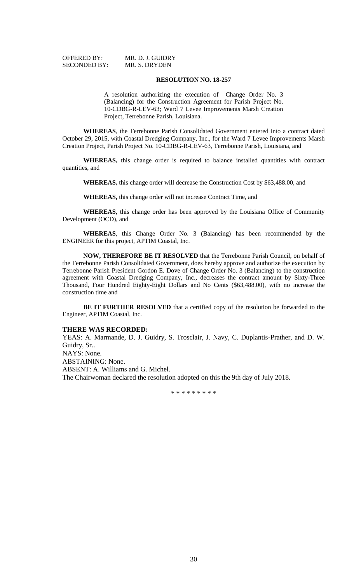OFFERED BY: MR. D. J. GUIDRY SECONDED BY: MR. S. DRYDEN

### **RESOLUTION NO. 18-257**

A resolution authorizing the execution of Change Order No. 3 (Balancing) for the Construction Agreement for Parish Project No. 10-CDBG-R-LEV-63; Ward 7 Levee Improvements Marsh Creation Project, Terrebonne Parish, Louisiana.

**WHEREAS**, the Terrebonne Parish Consolidated Government entered into a contract dated October 29, 2015, with Coastal Dredging Company, Inc., for the Ward 7 Levee Improvements Marsh Creation Project, Parish Project No. 10-CDBG-R-LEV-63, Terrebonne Parish, Louisiana, and

**WHEREAS,** this change order is required to balance installed quantities with contract quantities, and

**WHEREAS,** this change order will decrease the Construction Cost by \$63,488.00, and

**WHEREAS,** this change order will not increase Contract Time, and

**WHEREAS**, this change order has been approved by the Louisiana Office of Community Development (OCD), and

**WHEREAS**, this Change Order No. 3 (Balancing) has been recommended by the ENGINEER for this project, APTIM Coastal, Inc.

**NOW, THEREFORE BE IT RESOLVED** that the Terrebonne Parish Council, on behalf of the Terrebonne Parish Consolidated Government, does hereby approve and authorize the execution by Terrebonne Parish President Gordon E. Dove of Change Order No. 3 (Balancing) to the construction agreement with Coastal Dredging Company, Inc., decreases the contract amount by Sixty-Three Thousand, Four Hundred Eighty-Eight Dollars and No Cents (\$63,488.00), with no increase the construction time and

**BE IT FURTHER RESOLVED** that a certified copy of the resolution be forwarded to the Engineer, APTIM Coastal, Inc.

#### **THERE WAS RECORDED:**

YEAS: A. Marmande, D. J. Guidry, S. Trosclair, J. Navy, C. Duplantis-Prather, and D. W. Guidry, Sr.. NAYS: None. ABSTAINING: None. ABSENT: A. Williams and G. Michel.

The Chairwoman declared the resolution adopted on this the 9th day of July 2018.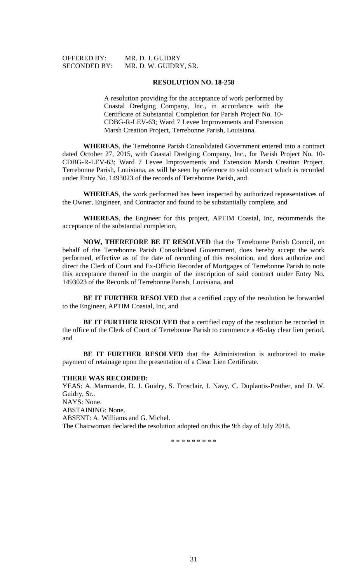SECONDED BY: MR. D. W. GUIDRY, SR.

#### **RESOLUTION NO. 18-258**

A resolution providing for the acceptance of work performed by Coastal Dredging Company, Inc., in accordance with the Certificate of Substantial Completion for Parish Project No. 10- CDBG-R-LEV-63; Ward 7 Levee Improvements and Extension Marsh Creation Project, Terrebonne Parish, Louisiana.

**WHEREAS**, the Terrebonne Parish Consolidated Government entered into a contract dated October 27, 2015, with Coastal Dredging Company, Inc., for Parish Project No. 10- CDBG-R-LEV-63; Ward 7 Levee Improvements and Extension Marsh Creation Project, Terrebonne Parish, Louisiana, as will be seen by reference to said contract which is recorded under Entry No. 1493023 of the records of Terrebonne Parish, and

**WHEREAS**, the work performed has been inspected by authorized representatives of the Owner, Engineer, and Contractor and found to be substantially complete, and

**WHEREAS**, the Engineer for this project, APTIM Coastal, Inc, recommends the acceptance of the substantial completion,

**NOW, THEREFORE BE IT RESOLVED** that the Terrebonne Parish Council, on behalf of the Terrebonne Parish Consolidated Government, does hereby accept the work performed, effective as of the date of recording of this resolution, and does authorize and direct the Clerk of Court and Ex-Officio Recorder of Mortgages of Terrebonne Parish to note this acceptance thereof in the margin of the inscription of said contract under Entry No. 1493023 of the Records of Terrebonne Parish, Louisiana, and

**BE IT FURTHER RESOLVED** that a certified copy of the resolution be forwarded to the Engineer, APTIM Coastal, Inc, and

**BE IT FURTHER RESOLVED** that a certified copy of the resolution be recorded in the office of the Clerk of Court of Terrebonne Parish to commence a 45-day clear lien period, and

**BE IT FURTHER RESOLVED** that the Administration is authorized to make payment of retainage upon the presentation of a Clear Lien Certificate.

# **THERE WAS RECORDED:**

YEAS: A. Marmande, D. J. Guidry, S. Trosclair, J. Navy, C. Duplantis-Prather, and D. W. Guidry, Sr.. NAYS: None. ABSTAINING: None. ABSENT: A. Williams and G. Michel. The Chairwoman declared the resolution adopted on this the 9th day of July 2018.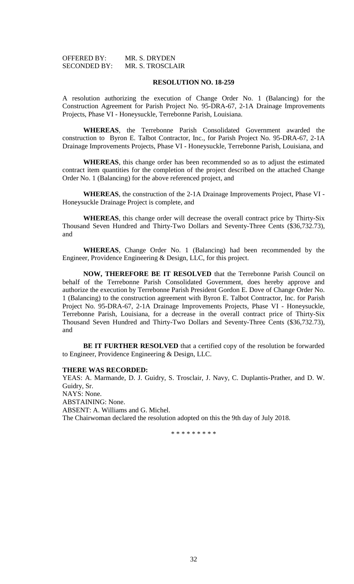| <b>OFFERED BY:</b>  | MR. S. DRYDEN    |
|---------------------|------------------|
| <b>SECONDED BY:</b> | MR. S. TROSCLAIR |

#### **RESOLUTION NO. 18-259**

A resolution authorizing the execution of Change Order No. 1 (Balancing) for the Construction Agreement for Parish Project No. 95-DRA-67, 2-1A Drainage Improvements Projects, Phase VI - Honeysuckle, Terrebonne Parish, Louisiana.

**WHEREAS**, the Terrebonne Parish Consolidated Government awarded the construction to Byron E. Talbot Contractor, Inc., for Parish Project No. 95-DRA-67, 2-1A Drainage Improvements Projects, Phase VI - Honeysuckle, Terrebonne Parish, Louisiana, and

**WHEREAS**, this change order has been recommended so as to adjust the estimated contract item quantities for the completion of the project described on the attached Change Order No. 1 (Balancing) for the above referenced project, and

**WHEREAS**, the construction of the 2-1A Drainage Improvements Project, Phase VI - Honeysuckle Drainage Project is complete, and

**WHEREAS**, this change order will decrease the overall contract price by Thirty-Six Thousand Seven Hundred and Thirty-Two Dollars and Seventy-Three Cents (\$36,732.73), and

**WHEREAS**, Change Order No. 1 (Balancing) had been recommended by the Engineer, Providence Engineering & Design, LLC, for this project.

**NOW, THEREFORE BE IT RESOLVED** that the Terrebonne Parish Council on behalf of the Terrebonne Parish Consolidated Government, does hereby approve and authorize the execution by Terrebonne Parish President Gordon E. Dove of Change Order No. 1 (Balancing) to the construction agreement with Byron E. Talbot Contractor, Inc. for Parish Project No. 95-DRA-67, 2-1A Drainage Improvements Projects, Phase VI - Honeysuckle, Terrebonne Parish, Louisiana, for a decrease in the overall contract price of Thirty-Six Thousand Seven Hundred and Thirty-Two Dollars and Seventy-Three Cents (\$36,732.73), and

**BE IT FURTHER RESOLVED** that a certified copy of the resolution be forwarded to Engineer, Providence Engineering & Design, LLC.

#### **THERE WAS RECORDED:**

YEAS: A. Marmande, D. J. Guidry, S. Trosclair, J. Navy, C. Duplantis-Prather, and D. W. Guidry, Sr. NAYS: None. ABSTAINING: None. ABSENT: A. Williams and G. Michel. The Chairwoman declared the resolution adopted on this the 9th day of July 2018.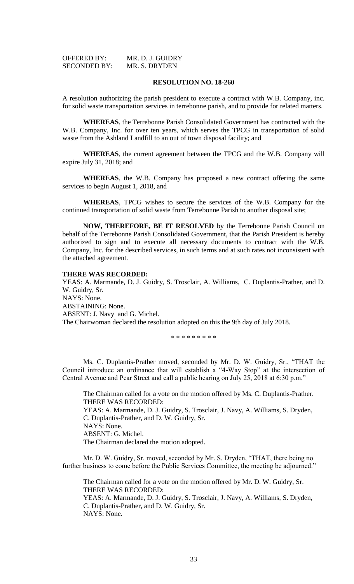| <b>OFFERED BY:</b>  | MR. D. J. GUIDRY |
|---------------------|------------------|
| <b>SECONDED BY:</b> | MR. S. DRYDEN    |

#### **RESOLUTION NO. 18-260**

A resolution authorizing the parish president to execute a contract with W.B. Company, inc. for solid waste transportation services in terrebonne parish, and to provide for related matters.

**WHEREAS**, the Terrebonne Parish Consolidated Government has contracted with the W.B. Company, Inc. for over ten years, which serves the TPCG in transportation of solid waste from the Ashland Landfill to an out of town disposal facility; and

**WHEREAS**, the current agreement between the TPCG and the W.B. Company will expire July 31, 2018; and

**WHEREAS**, the W.B. Company has proposed a new contract offering the same services to begin August 1, 2018, and

**WHEREAS**, TPCG wishes to secure the services of the W.B. Company for the continued transportation of solid waste from Terrebonne Parish to another disposal site;

**NOW, THEREFORE, BE IT RESOLVED** by the Terrebonne Parish Council on behalf of the Terrebonne Parish Consolidated Government, that the Parish President is hereby authorized to sign and to execute all necessary documents to contract with the W.B. Company, Inc. for the described services, in such terms and at such rates not inconsistent with the attached agreement.

#### **THERE WAS RECORDED:**

YEAS: A. Marmande, D. J. Guidry, S. Trosclair, A. Williams, C. Duplantis-Prather, and D. W. Guidry, Sr. NAYS: None. ABSTAINING: None. ABSENT: J. Navy and G. Michel. The Chairwoman declared the resolution adopted on this the 9th day of July 2018.

\* \* \* \* \* \* \* \* \*

Ms. C. Duplantis-Prather moved, seconded by Mr. D. W. Guidry, Sr., "THAT the Council introduce an ordinance that will establish a "4-Way Stop" at the intersection of Central Avenue and Pear Street and call a public hearing on July 25, 2018 at 6:30 p.m."

The Chairman called for a vote on the motion offered by Ms. C. Duplantis-Prather. THERE WAS RECORDED: YEAS: A. Marmande, D. J. Guidry, S. Trosclair, J. Navy, A. Williams, S. Dryden, C. Duplantis-Prather, and D. W. Guidry, Sr. NAYS: None. ABSENT: G. Michel. The Chairman declared the motion adopted.

Mr. D. W. Guidry, Sr. moved, seconded by Mr. S. Dryden, "THAT, there being no further business to come before the Public Services Committee, the meeting be adjourned."

The Chairman called for a vote on the motion offered by Mr. D. W. Guidry, Sr. THERE WAS RECORDED: YEAS: A. Marmande, D. J. Guidry, S. Trosclair, J. Navy, A. Williams, S. Dryden, C. Duplantis-Prather, and D. W. Guidry, Sr. NAYS: None.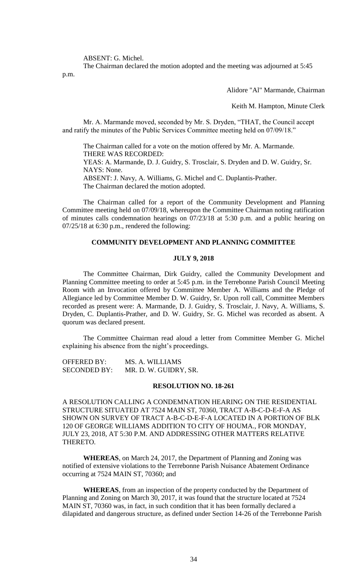ABSENT: G. Michel.

The Chairman declared the motion adopted and the meeting was adjourned at 5:45 p.m.

Alidore "Al" Marmande, Chairman

Keith M. Hampton, Minute Clerk

Mr. A. Marmande moved, seconded by Mr. S. Dryden, "THAT, the Council accept and ratify the minutes of the Public Services Committee meeting held on 07/09/18."

The Chairman called for a vote on the motion offered by Mr. A. Marmande. THERE WAS RECORDED: YEAS: A. Marmande, D. J. Guidry, S. Trosclair, S. Dryden and D. W. Guidry, Sr. NAYS: None. ABSENT: J. Navy, A. Williams, G. Michel and C. Duplantis-Prather.

The Chairman declared the motion adopted.

The Chairman called for a report of the Community Development and Planning Committee meeting held on 07/09/18, whereupon the Committee Chairman noting ratification of minutes calls condemnation hearings on 07/23/18 at 5:30 p.m. and a public hearing on 07/25/18 at 6:30 p.m., rendered the following:

# **COMMUNITY DEVELOPMENT AND PLANNING COMMITTEE**

# **JULY 9, 2018**

The Committee Chairman, Dirk Guidry, called the Community Development and Planning Committee meeting to order at 5:45 p.m. in the Terrebonne Parish Council Meeting Room with an Invocation offered by Committee Member A. Williams and the Pledge of Allegiance led by Committee Member D. W. Guidry, Sr. Upon roll call, Committee Members recorded as present were: A. Marmande, D. J. Guidry, S. Trosclair, J. Navy, A. Williams, S. Dryden, C. Duplantis-Prather, and D. W. Guidry, Sr. G. Michel was recorded as absent. A quorum was declared present.

The Committee Chairman read aloud a letter from Committee Member G. Michel explaining his absence from the night's proceedings.

OFFERED BY: MS. A. WILLIAMS SECONDED BY: MR. D. W. GUIDRY, SR.

#### **RESOLUTION NO. 18-261**

A RESOLUTION CALLING A CONDEMNATION HEARING ON THE RESIDENTIAL STRUCTURE SITUATED AT 7524 MAIN ST, 70360, TRACT A-B-C-D-E-F-A AS SHOWN ON SURVEY OF TRACT A-B-C-D-E-F-A LOCATED IN A PORTION OF BLK 120 OF GEORGE WILLIAMS ADDITION TO CITY OF HOUMA., FOR MONDAY, JULY 23, 2018, AT 5:30 P.M. AND ADDRESSING OTHER MATTERS RELATIVE THERETO.

**WHEREAS**, on March 24, 2017, the Department of Planning and Zoning was notified of extensive violations to the Terrebonne Parish Nuisance Abatement Ordinance occurring at 7524 MAIN ST, 70360; and

**WHEREAS**, from an inspection of the property conducted by the Department of Planning and Zoning on March 30, 2017, it was found that the structure located at 7524 MAIN ST, 70360 was, in fact, in such condition that it has been formally declared a dilapidated and dangerous structure, as defined under Section 14-26 of the Terrebonne Parish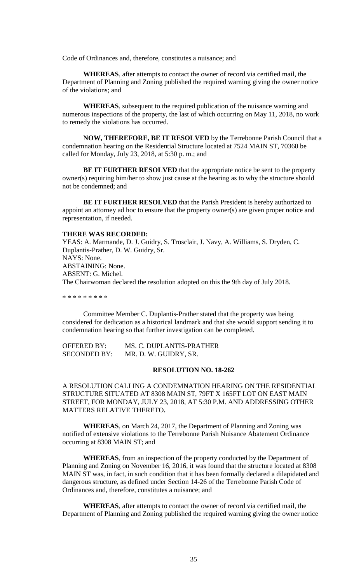Code of Ordinances and, therefore, constitutes a nuisance; and

**WHEREAS**, after attempts to contact the owner of record via certified mail, the Department of Planning and Zoning published the required warning giving the owner notice of the violations; and

**WHEREAS**, subsequent to the required publication of the nuisance warning and numerous inspections of the property, the last of which occurring on May 11, 2018, no work to remedy the violations has occurred.

**NOW, THEREFORE, BE IT RESOLVED** by the Terrebonne Parish Council that a condemnation hearing on the Residential Structure located at 7524 MAIN ST, 70360 be called for Monday, July 23, 2018, at 5:30 p. m.; and

**BE IT FURTHER RESOLVED** that the appropriate notice be sent to the property owner(s) requiring him/her to show just cause at the hearing as to why the structure should not be condemned; and

**BE IT FURTHER RESOLVED** that the Parish President is hereby authorized to appoint an attorney ad hoc to ensure that the property owner(s) are given proper notice and representation, if needed.

## **THERE WAS RECORDED:**

YEAS: A. Marmande, D. J. Guidry, S. Trosclair, J. Navy, A. Williams, S. Dryden, C. Duplantis-Prather, D. W. Guidry, Sr. NAYS: None. ABSTAINING: None. ABSENT: G. Michel. The Chairwoman declared the resolution adopted on this the 9th day of July 2018.

\* \* \* \* \* \* \* \* \*

Committee Member C. Duplantis-Prather stated that the property was being considered for dedication as a historical landmark and that she would support sending it to condemnation hearing so that further investigation can be completed.

| <b>OFFERED BY:</b>  | MS. C. DUPLANTIS-PRATHER |
|---------------------|--------------------------|
| <b>SECONDED BY:</b> | MR. D. W. GUIDRY, SR.    |

# **RESOLUTION NO. 18-262**

A RESOLUTION CALLING A CONDEMNATION HEARING ON THE RESIDENTIAL STRUCTURE SITUATED AT 8308 MAIN ST, 79FT X 165FT LOT ON EAST MAIN STREET, FOR MONDAY, JULY 23, 2018, AT 5:30 P.M. AND ADDRESSING OTHER MATTERS RELATIVE THERETO**.**

**WHEREAS**, on March 24, 2017, the Department of Planning and Zoning was notified of extensive violations to the Terrebonne Parish Nuisance Abatement Ordinance occurring at 8308 MAIN ST; and

**WHEREAS**, from an inspection of the property conducted by the Department of Planning and Zoning on November 16, 2016, it was found that the structure located at 8308 MAIN ST was, in fact, in such condition that it has been formally declared a dilapidated and dangerous structure, as defined under Section 14-26 of the Terrebonne Parish Code of Ordinances and, therefore, constitutes a nuisance; and

**WHEREAS**, after attempts to contact the owner of record via certified mail, the Department of Planning and Zoning published the required warning giving the owner notice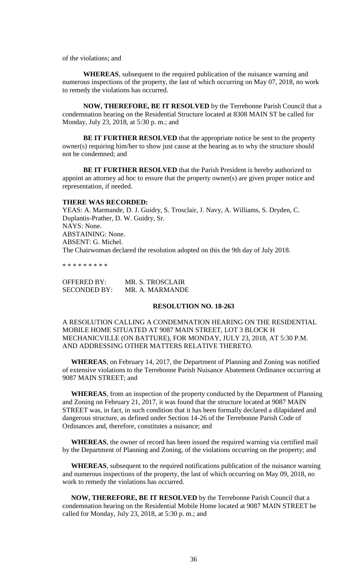of the violations; and

**WHEREAS**, subsequent to the required publication of the nuisance warning and numerous inspections of the property, the last of which occurring on May 07, 2018, no work to remedy the violations has occurred.

**NOW, THEREFORE, BE IT RESOLVED** by the Terrebonne Parish Council that a condemnation hearing on the Residential Structure located at 8308 MAIN ST be called for Monday, July 23, 2018, at 5:30 p. m.; and

**BE IT FURTHER RESOLVED** that the appropriate notice be sent to the property owner(s) requiring him/her to show just cause at the hearing as to why the structure should not be condemned; and

**BE IT FURTHER RESOLVED** that the Parish President is hereby authorized to appoint an attorney ad hoc to ensure that the property owner(s) are given proper notice and representation, if needed.

#### **THERE WAS RECORDED:**

YEAS: A. Marmande, D. J. Guidry, S. Trosclair, J. Navy, A. Williams, S. Dryden, C. Duplantis-Prather, D. W. Guidry, Sr. NAYS: None. ABSTAINING: None. ABSENT: G. Michel. The Chairwoman declared the resolution adopted on this the 9th day of July 2018.

\* \* \* \* \* \* \* \* \*

| <b>OFFERED BY:</b>  | MR. S. TROSCLAIR |
|---------------------|------------------|
| <b>SECONDED BY:</b> | MR. A. MARMANDE  |

## **RESOLUTION NO. 18-263**

A RESOLUTION CALLING A CONDEMNATION HEARING ON THE RESIDENTIAL MOBILE HOME SITUATED AT 9087 MAIN STREET, LOT 3 BLOCK H MECHANICVILLE (ON BATTURE), FOR MONDAY, JULY 23, 2018, AT 5:30 P.M. AND ADDRESSING OTHER MATTERS RELATIVE THERETO.

 **WHEREAS**, on February 14, 2017, the Department of Planning and Zoning was notified of extensive violations to the Terrebonne Parish Nuisance Abatement Ordinance occurring at 9087 MAIN STREET; and

 **WHEREAS**, from an inspection of the property conducted by the Department of Planning and Zoning on February 21, 2017, it was found that the structure located at 9087 MAIN STREET was, in fact, in such condition that it has been formally declared a dilapidated and dangerous structure, as defined under Section 14-26 of the Terrebonne Parish Code of Ordinances and, therefore, constitutes a nuisance; and

 **WHEREAS**, the owner of record has been issued the required warning via certified mail by the Department of Planning and Zoning, of the violations occurring on the property; and

 **WHEREAS**, subsequent to the required notifications publication of the nuisance warning and numerous inspections of the property, the last of which occurring on May 09, 2018, no work to remedy the violations has occurred.

 **NOW, THEREFORE, BE IT RESOLVED** by the Terrebonne Parish Council that a condemnation hearing on the Residential Mobile Home located at 9087 MAIN STREET be called for Monday, July 23, 2018, at 5:30 p. m.; and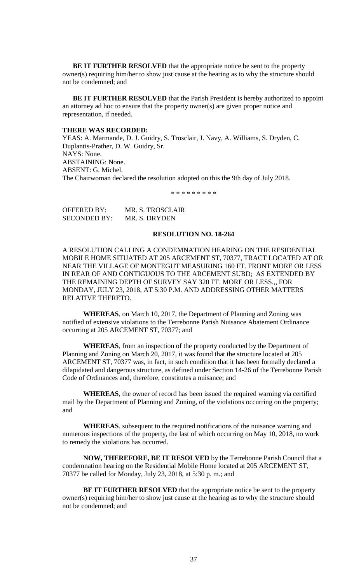**BE IT FURTHER RESOLVED** that the appropriate notice be sent to the property owner(s) requiring him/her to show just cause at the hearing as to why the structure should not be condemned; and

 **BE IT FURTHER RESOLVED** that the Parish President is hereby authorized to appoint an attorney ad hoc to ensure that the property owner(s) are given proper notice and representation, if needed.

#### **THERE WAS RECORDED:**

YEAS: A. Marmande, D. J. Guidry, S. Trosclair, J. Navy, A. Williams, S. Dryden, C. Duplantis-Prather, D. W. Guidry, Sr. NAYS: None. ABSTAINING: None. ABSENT: G. Michel. The Chairwoman declared the resolution adopted on this the 9th day of July 2018.

\* \* \* \* \* \* \* \* \*

| OFFERED BY:         | MR. S. TROSCLAIR |
|---------------------|------------------|
| <b>SECONDED BY:</b> | MR. S. DRYDEN    |

#### **RESOLUTION NO. 18-264**

A RESOLUTION CALLING A CONDEMNATION HEARING ON THE RESIDENTIAL MOBILE HOME SITUATED AT 205 ARCEMENT ST, 70377, TRACT LOCATED AT OR NEAR THE VILLAGE OF MONTEGUT MEASURING 160 FT. FRONT MORE OR LESS IN REAR OF AND CONTIGUOUS TO THE ARCEMENT SUBD; AS EXTENDED BY THE REMAINING DEPTH OF SURVEY SAY 320 FT. MORE OR LESS.,, FOR MONDAY, JULY 23, 2018, AT 5:30 P.M. AND ADDRESSING OTHER MATTERS RELATIVE THERETO.

**WHEREAS**, on March 10, 2017, the Department of Planning and Zoning was notified of extensive violations to the Terrebonne Parish Nuisance Abatement Ordinance occurring at 205 ARCEMENT ST, 70377; and

**WHEREAS**, from an inspection of the property conducted by the Department of Planning and Zoning on March 20, 2017, it was found that the structure located at 205 ARCEMENT ST, 70377 was, in fact, in such condition that it has been formally declared a dilapidated and dangerous structure, as defined under Section 14-26 of the Terrebonne Parish Code of Ordinances and, therefore, constitutes a nuisance; and

**WHEREAS**, the owner of record has been issued the required warning via certified mail by the Department of Planning and Zoning, of the violations occurring on the property; and

**WHEREAS**, subsequent to the required notifications of the nuisance warning and numerous inspections of the property, the last of which occurring on May 10, 2018, no work to remedy the violations has occurred.

**NOW, THEREFORE, BE IT RESOLVED** by the Terrebonne Parish Council that a condemnation hearing on the Residential Mobile Home located at 205 ARCEMENT ST, 70377 be called for Monday, July 23, 2018, at 5:30 p. m.; and

**BE IT FURTHER RESOLVED** that the appropriate notice be sent to the property owner(s) requiring him/her to show just cause at the hearing as to why the structure should not be condemned; and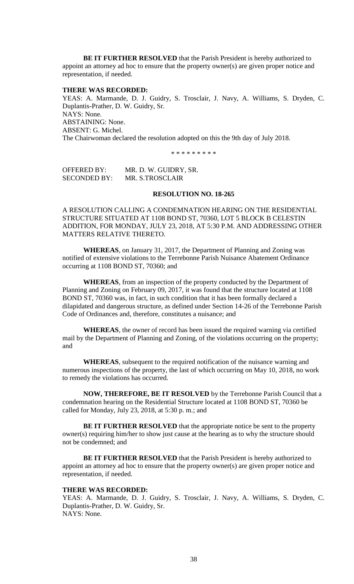**BE IT FURTHER RESOLVED** that the Parish President is hereby authorized to appoint an attorney ad hoc to ensure that the property owner(s) are given proper notice and representation, if needed.

### **THERE WAS RECORDED:**

YEAS: A. Marmande, D. J. Guidry, S. Trosclair, J. Navy, A. Williams, S. Dryden, C. Duplantis-Prather, D. W. Guidry, Sr. NAYS: None. ABSTAINING: None. ABSENT: G. Michel. The Chairwoman declared the resolution adopted on this the 9th day of July 2018.

\* \* \* \* \* \* \* \* \*

OFFERED BY: MR. D. W. GUIDRY, SR. SECONDED BY: MR. S.TROSCLAIR

# **RESOLUTION NO. 18-265**

A RESOLUTION CALLING A CONDEMNATION HEARING ON THE RESIDENTIAL STRUCTURE SITUATED AT 1108 BOND ST, 70360, LOT 5 BLOCK B CELESTIN ADDITION, FOR MONDAY, JULY 23, 2018, AT 5:30 P.M. AND ADDRESSING OTHER MATTERS RELATIVE THERETO.

**WHEREAS**, on January 31, 2017, the Department of Planning and Zoning was notified of extensive violations to the Terrebonne Parish Nuisance Abatement Ordinance occurring at 1108 BOND ST, 70360; and

**WHEREAS**, from an inspection of the property conducted by the Department of Planning and Zoning on February 09, 2017, it was found that the structure located at 1108 BOND ST, 70360 was, in fact, in such condition that it has been formally declared a dilapidated and dangerous structure, as defined under Section 14-26 of the Terrebonne Parish Code of Ordinances and, therefore, constitutes a nuisance; and

**WHEREAS**, the owner of record has been issued the required warning via certified mail by the Department of Planning and Zoning, of the violations occurring on the property; and

**WHEREAS**, subsequent to the required notification of the nuisance warning and numerous inspections of the property, the last of which occurring on May 10, 2018, no work to remedy the violations has occurred.

**NOW, THEREFORE, BE IT RESOLVED** by the Terrebonne Parish Council that a condemnation hearing on the Residential Structure located at 1108 BOND ST, 70360 be called for Monday, July 23, 2018, at 5:30 p. m.; and

**BE IT FURTHER RESOLVED** that the appropriate notice be sent to the property owner(s) requiring him/her to show just cause at the hearing as to why the structure should not be condemned; and

**BE IT FURTHER RESOLVED** that the Parish President is hereby authorized to appoint an attorney ad hoc to ensure that the property owner(s) are given proper notice and representation, if needed.

### **THERE WAS RECORDED:**

YEAS: A. Marmande, D. J. Guidry, S. Trosclair, J. Navy, A. Williams, S. Dryden, C. Duplantis-Prather, D. W. Guidry, Sr. NAYS: None.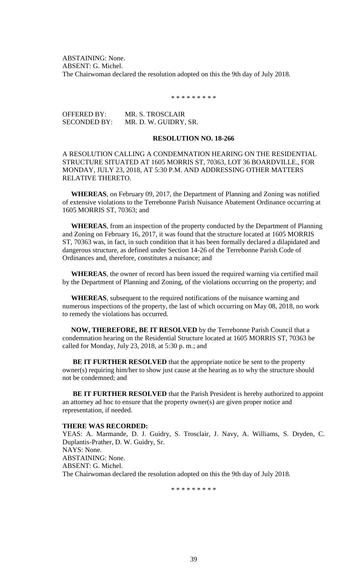ABSTAINING: None. ABSENT: G. Michel. The Chairwoman declared the resolution adopted on this the 9th day of July 2018.

\* \* \* \* \* \* \* \* \*

OFFERED BY: MR. S. TROSCLAIR SECONDED BY: MR. D. W. GUIDRY, SR.

# **RESOLUTION NO. 18-266**

A RESOLUTION CALLING A CONDEMNATION HEARING ON THE RESIDENTIAL STRUCTURE SITUATED AT 1605 MORRIS ST, 70363, LOT 36 BOARDVILLE., FOR MONDAY, JULY 23, 2018, AT 5:30 P.M. AND ADDRESSING OTHER MATTERS RELATIVE THERETO.

 **WHEREAS**, on February 09, 2017, the Department of Planning and Zoning was notified of extensive violations to the Terrebonne Parish Nuisance Abatement Ordinance occurring at 1605 MORRIS ST, 70363; and

 **WHEREAS**, from an inspection of the property conducted by the Department of Planning and Zoning on February 16, 2017, it was found that the structure located at 1605 MORRIS ST, 70363 was, in fact, in such condition that it has been formally declared a dilapidated and dangerous structure, as defined under Section 14-26 of the Terrebonne Parish Code of Ordinances and, therefore, constitutes a nuisance; and

 **WHEREAS**, the owner of record has been issued the required warning via certified mail by the Department of Planning and Zoning, of the violations occurring on the property; and

 **WHEREAS**, subsequent to the required notifications of the nuisance warning and numerous inspections of the property, the last of which occurring on May 08, 2018, no work to remedy the violations has occurred.

 **NOW, THEREFORE, BE IT RESOLVED** by the Terrebonne Parish Council that a condemnation hearing on the Residential Structure located at 1605 MORRIS ST, 70363 be called for Monday, July 23, 2018, at 5:30 p. m.; and

**BE IT FURTHER RESOLVED** that the appropriate notice be sent to the property owner(s) requiring him/her to show just cause at the hearing as to why the structure should not be condemned; and

 **BE IT FURTHER RESOLVED** that the Parish President is hereby authorized to appoint an attorney ad hoc to ensure that the property owner(s) are given proper notice and representation, if needed.

#### **THERE WAS RECORDED:**

YEAS: A. Marmande, D. J. Guidry, S. Trosclair, J. Navy, A. Williams, S. Dryden, C. Duplantis-Prather, D. W. Guidry, Sr. NAYS: None. ABSTAINING: None. ABSENT: G. Michel. The Chairwoman declared the resolution adopted on this the 9th day of July 2018.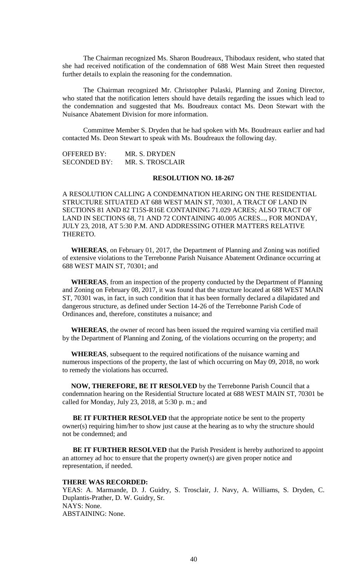The Chairman recognized Ms. Sharon Boudreaux, Thibodaux resident, who stated that she had received notification of the condemnation of 688 West Main Street then requested further details to explain the reasoning for the condemnation.

The Chairman recognized Mr. Christopher Pulaski, Planning and Zoning Director, who stated that the notification letters should have details regarding the issues which lead to the condemnation and suggested that Ms. Boudreaux contact Ms. Deon Stewart with the Nuisance Abatement Division for more information.

Committee Member S. Dryden that he had spoken with Ms. Boudreaux earlier and had contacted Ms. Deon Stewart to speak with Ms. Boudreaux the following day.

OFFERED BY: MR. S. DRYDEN SECONDED BY: MR. S. TROSCLAIR

## **RESOLUTION NO. 18-267**

A RESOLUTION CALLING A CONDEMNATION HEARING ON THE RESIDENTIAL STRUCTURE SITUATED AT 688 WEST MAIN ST, 70301, A TRACT OF LAND IN SECTIONS 81 AND 82 T15S-R16E CONTAINING 71.029 ACRES; ALSO TRACT OF LAND IN SECTIONS 68, 71 AND 72 CONTAINING 40.005 ACRES..., FOR MONDAY, JULY 23, 2018, AT 5:30 P.M. AND ADDRESSING OTHER MATTERS RELATIVE THERETO.

 **WHEREAS**, on February 01, 2017, the Department of Planning and Zoning was notified of extensive violations to the Terrebonne Parish Nuisance Abatement Ordinance occurring at 688 WEST MAIN ST, 70301; and

 **WHEREAS**, from an inspection of the property conducted by the Department of Planning and Zoning on February 08, 2017, it was found that the structure located at 688 WEST MAIN ST, 70301 was, in fact, in such condition that it has been formally declared a dilapidated and dangerous structure, as defined under Section 14-26 of the Terrebonne Parish Code of Ordinances and, therefore, constitutes a nuisance; and

 **WHEREAS**, the owner of record has been issued the required warning via certified mail by the Department of Planning and Zoning, of the violations occurring on the property; and

 **WHEREAS**, subsequent to the required notifications of the nuisance warning and numerous inspections of the property, the last of which occurring on May 09, 2018, no work to remedy the violations has occurred.

 **NOW, THEREFORE, BE IT RESOLVED** by the Terrebonne Parish Council that a condemnation hearing on the Residential Structure located at 688 WEST MAIN ST, 70301 be called for Monday, July 23, 2018, at 5:30 p. m.; and

**BE IT FURTHER RESOLVED** that the appropriate notice be sent to the property owner(s) requiring him/her to show just cause at the hearing as to why the structure should not be condemned; and

**BE IT FURTHER RESOLVED** that the Parish President is hereby authorized to appoint an attorney ad hoc to ensure that the property owner(s) are given proper notice and representation, if needed.

#### **THERE WAS RECORDED:**

YEAS: A. Marmande, D. J. Guidry, S. Trosclair, J. Navy, A. Williams, S. Dryden, C. Duplantis-Prather, D. W. Guidry, Sr. NAYS: None. ABSTAINING: None.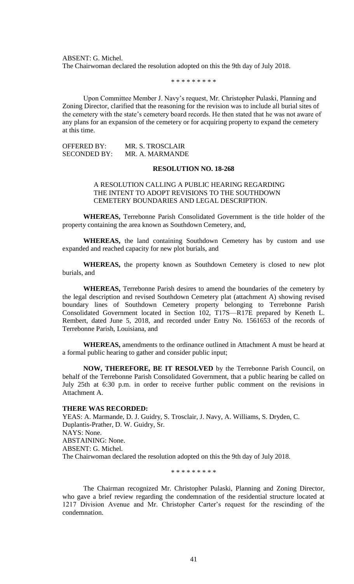ABSENT: G. Michel. The Chairwoman declared the resolution adopted on this the 9th day of July 2018.

\* \* \* \* \* \* \* \* \*

Upon Committee Member J. Navy's request, Mr. Christopher Pulaski, Planning and Zoning Director, clarified that the reasoning for the revision was to include all burial sites of the cemetery with the state's cemetery board records. He then stated that he was not aware of any plans for an expansion of the cemetery or for acquiring property to expand the cemetery at this time.

OFFERED BY: MR. S. TROSCLAIR SECONDED BY: MR. A. MARMANDE

#### **RESOLUTION NO. 18-268**

### A RESOLUTION CALLING A PUBLIC HEARING REGARDING THE INTENT TO ADOPT REVISIONS TO THE SOUTHDOWN CEMETERY BOUNDARIES AND LEGAL DESCRIPTION.

**WHEREAS,** Terrebonne Parish Consolidated Government is the title holder of the property containing the area known as Southdown Cemetery, and,

**WHEREAS,** the land containing Southdown Cemetery has by custom and use expanded and reached capacity for new plot burials, and

**WHEREAS,** the property known as Southdown Cemetery is closed to new plot burials, and

**WHEREAS,** Terrebonne Parish desires to amend the boundaries of the cemetery by the legal description and revised Southdown Cemetery plat (attachment A) showing revised boundary lines of Southdown Cemetery property belonging to Terrebonne Parish Consolidated Government located in Section 102, T17S—R17E prepared by Keneth L. Rembert, dated June 5, 2018, and recorded under Entry No. 1561653 of the records of Terrebonne Parish, Louisiana, and

**WHEREAS,** amendments to the ordinance outlined in Attachment A must be heard at a formal public hearing to gather and consider public input;

**NOW, THEREFORE, BE IT RESOLVED** by the Terrebonne Parish Council, on behalf of the Terrebonne Parish Consolidated Government, that a public hearing be called on July 25th at 6:30 p.m. in order to receive further public comment on the revisions in Attachment A.

#### **THERE WAS RECORDED:**

YEAS: A. Marmande, D. J. Guidry, S. Trosclair, J. Navy, A. Williams, S. Dryden, C. Duplantis-Prather, D. W. Guidry, Sr. NAYS: None. ABSTAINING: None. ABSENT: G. Michel. The Chairwoman declared the resolution adopted on this the 9th day of July 2018.

\* \* \* \* \* \* \* \* \*

The Chairman recognized Mr. Christopher Pulaski, Planning and Zoning Director, who gave a brief review regarding the condemnation of the residential structure located at 1217 Division Avenue and Mr. Christopher Carter's request for the rescinding of the condemnation.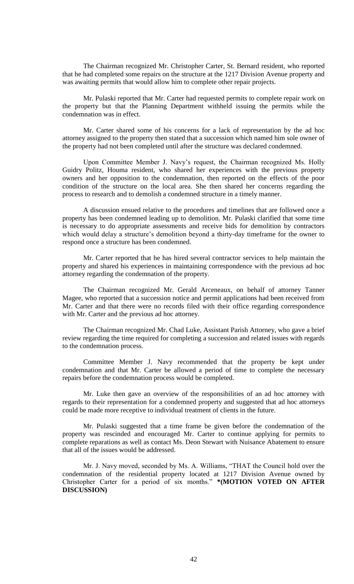The Chairman recognized Mr. Christopher Carter, St. Bernard resident, who reported that he had completed some repairs on the structure at the 1217 Division Avenue property and was awaiting permits that would allow him to complete other repair projects.

Mr. Pulaski reported that Mr. Carter had requested permits to complete repair work on the property but that the Planning Department withheld issuing the permits while the condemnation was in effect.

Mr. Carter shared some of his concerns for a lack of representation by the ad hoc attorney assigned to the property then stated that a succession which named him sole owner of the property had not been completed until after the structure was declared condemned.

Upon Committee Member J. Navy's request, the Chairman recognized Ms. Holly Guidry Politz, Houma resident, who shared her experiences with the previous property owners and her opposition to the condemnation, then reported on the effects of the poor condition of the structure on the local area. She then shared her concerns regarding the process to research and to demolish a condemned structure in a timely manner.

A discussion ensued relative to the procedures and timelines that are followed once a property has been condemned leading up to demolition. Mr. Pulaski clarified that some time is necessary to do appropriate assessments and receive bids for demolition by contractors which would delay a structure's demolition beyond a thirty-day timeframe for the owner to respond once a structure has been condemned.

Mr. Carter reported that he has hired several contractor services to help maintain the property and shared his experiences in maintaining correspondence with the previous ad hoc attorney regarding the condemnation of the property.

The Chairman recognized Mr. Gerald Arceneaux, on behalf of attorney Tanner Magee, who reported that a succession notice and permit applications had been received from Mr. Carter and that there were no records filed with their office regarding correspondence with Mr. Carter and the previous ad hoc attorney.

The Chairman recognized Mr. Chad Luke, Assistant Parish Attorney, who gave a brief review regarding the time required for completing a succession and related issues with regards to the condemnation process.

Committee Member J. Navy recommended that the property be kept under condemnation and that Mr. Carter be allowed a period of time to complete the necessary repairs before the condemnation process would be completed.

Mr. Luke then gave an overview of the responsibilities of an ad hoc attorney with regards to their representation for a condemned property and suggested that ad hoc attorneys could be made more receptive to individual treatment of clients in the future.

Mr. Pulaski suggested that a time frame be given before the condemnation of the property was rescinded and encouraged Mr. Carter to continue applying for permits to complete reparations as well as contact Ms. Deon Stewart with Nuisance Abatement to ensure that all of the issues would be addressed.

Mr. J. Navy moved, seconded by Ms. A. Williams, "THAT the Council hold over the condemnation of the residential property located at 1217 Division Avenue owned by Christopher Carter for a period of six months." **\*(MOTION VOTED ON AFTER DISCUSSION)**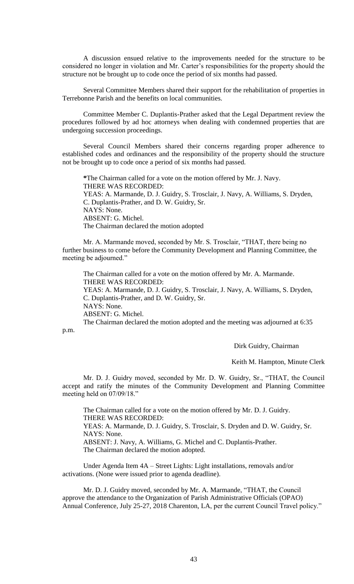A discussion ensued relative to the improvements needed for the structure to be considered no longer in violation and Mr. Carter's responsibilities for the property should the structure not be brought up to code once the period of six months had passed.

Several Committee Members shared their support for the rehabilitation of properties in Terrebonne Parish and the benefits on local communities.

Committee Member C. Duplantis-Prather asked that the Legal Department review the procedures followed by ad hoc attorneys when dealing with condemned properties that are undergoing succession proceedings.

Several Council Members shared their concerns regarding proper adherence to established codes and ordinances and the responsibility of the property should the structure not be brought up to code once a period of six months had passed.

**\***The Chairman called for a vote on the motion offered by Mr. J. Navy. THERE WAS RECORDED: YEAS: A. Marmande, D. J. Guidry, S. Trosclair, J. Navy, A. Williams, S. Dryden, C. Duplantis-Prather, and D. W. Guidry, Sr. NAYS: None. ABSENT: G. Michel. The Chairman declared the motion adopted

Mr. A. Marmande moved, seconded by Mr. S. Trosclair, "THAT, there being no further business to come before the Community Development and Planning Committee, the meeting be adjourned."

The Chairman called for a vote on the motion offered by Mr. A. Marmande. THERE WAS RECORDED: YEAS: A. Marmande, D. J. Guidry, S. Trosclair, J. Navy, A. Williams, S. Dryden, C. Duplantis-Prather, and D. W. Guidry, Sr.

NAYS: None.

ABSENT: G. Michel.

The Chairman declared the motion adopted and the meeting was adjourned at 6:35

p.m.

Dirk Guidry, Chairman

Keith M. Hampton, Minute Clerk

Mr. D. J. Guidry moved, seconded by Mr. D. W. Guidry, Sr., "THAT, the Council accept and ratify the minutes of the Community Development and Planning Committee meeting held on 07/09/18."

The Chairman called for a vote on the motion offered by Mr. D. J. Guidry. THERE WAS RECORDED:

YEAS: A. Marmande, D. J. Guidry, S. Trosclair, S. Dryden and D. W. Guidry, Sr. NAYS: None.

ABSENT: J. Navy, A. Williams, G. Michel and C. Duplantis-Prather. The Chairman declared the motion adopted.

Under Agenda Item 4A – Street Lights: Light installations, removals and/or activations. (None were issued prior to agenda deadline).

Mr. D. J. Guidry moved, seconded by Mr. A. Marmande, "THAT, the Council approve the attendance to the Organization of Parish Administrative Officials (OPAO) Annual Conference, July 25-27, 2018 Charenton, LA, per the current Council Travel policy."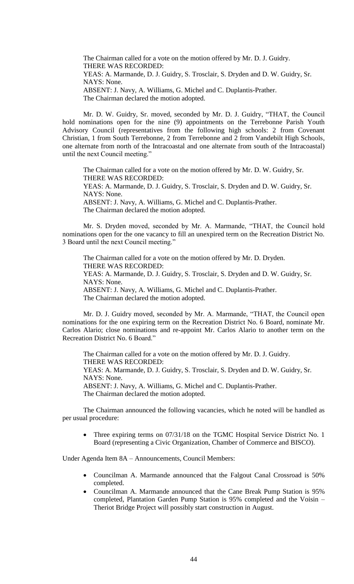The Chairman called for a vote on the motion offered by Mr. D. J. Guidry. THERE WAS RECORDED: YEAS: A. Marmande, D. J. Guidry, S. Trosclair, S. Dryden and D. W. Guidry, Sr. NAYS: None. ABSENT: J. Navy, A. Williams, G. Michel and C. Duplantis-Prather. The Chairman declared the motion adopted.

Mr. D. W. Guidry, Sr. moved, seconded by Mr. D. J. Guidry, "THAT, the Council hold nominations open for the nine (9) appointments on the Terrebonne Parish Youth Advisory Council (representatives from the following high schools: 2 from Covenant Christian, 1 from South Terrebonne, 2 from Terrebonne and 2 from Vandebilt High Schools, one alternate from north of the Intracoastal and one alternate from south of the Intracoastal) until the next Council meeting."

The Chairman called for a vote on the motion offered by Mr. D. W. Guidry, Sr. THERE WAS RECORDED: YEAS: A. Marmande, D. J. Guidry, S. Trosclair, S. Dryden and D. W. Guidry, Sr. NAYS: None. ABSENT: J. Navy, A. Williams, G. Michel and C. Duplantis-Prather. The Chairman declared the motion adopted.

Mr. S. Dryden moved, seconded by Mr. A. Marmande, "THAT, the Council hold nominations open for the one vacancy to fill an unexpired term on the Recreation District No. 3 Board until the next Council meeting."

The Chairman called for a vote on the motion offered by Mr. D. Dryden. THERE WAS RECORDED: YEAS: A. Marmande, D. J. Guidry, S. Trosclair, S. Dryden and D. W. Guidry, Sr. NAYS: None. ABSENT: J. Navy, A. Williams, G. Michel and C. Duplantis-Prather. The Chairman declared the motion adopted.

Mr. D. J. Guidry moved, seconded by Mr. A. Marmande, "THAT, the Council open nominations for the one expiring term on the Recreation District No. 6 Board, nominate Mr. Carlos Alario; close nominations and re-appoint Mr. Carlos Alario to another term on the Recreation District No. 6 Board."

The Chairman called for a vote on the motion offered by Mr. D. J. Guidry. THERE WAS RECORDED: YEAS: A. Marmande, D. J. Guidry, S. Trosclair, S. Dryden and D. W. Guidry, Sr. NAYS: None. ABSENT: J. Navy, A. Williams, G. Michel and C. Duplantis-Prather. The Chairman declared the motion adopted.

The Chairman announced the following vacancies, which he noted will be handled as per usual procedure:

 Three expiring terms on 07/31/18 on the TGMC Hospital Service District No. 1 Board (representing a Civic Organization, Chamber of Commerce and BISCO).

Under Agenda Item 8A – Announcements, Council Members:

- Councilman A. Marmande announced that the Falgout Canal Crossroad is 50% completed.
- Councilman A. Marmande announced that the Cane Break Pump Station is 95% completed, Plantation Garden Pump Station is 95% completed and the Voisin – Theriot Bridge Project will possibly start construction in August.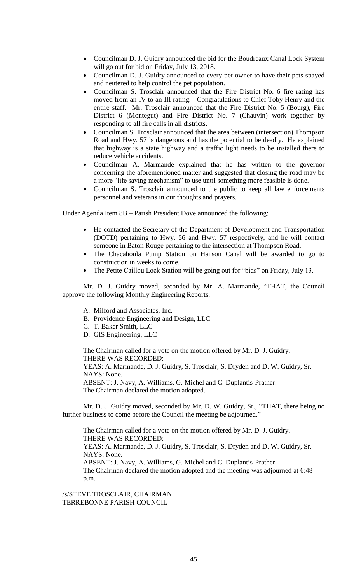- Councilman D. J. Guidry announced the bid for the Boudreaux Canal Lock System will go out for bid on Friday, July 13, 2018.
- Councilman D. J. Guidry announced to every pet owner to have their pets spayed and neutered to help control the pet population.
- Councilman S. Trosclair announced that the Fire District No. 6 fire rating has moved from an IV to an III rating. Congratulations to Chief Toby Henry and the entire staff. Mr. Trosclair announced that the Fire District No. 5 (Bourg), Fire District 6 (Montegut) and Fire District No. 7 (Chauvin) work together by responding to all fire calls in all districts.
- Councilman S. Trosclair announced that the area between (intersection) Thompson Road and Hwy. 57 is dangerous and has the potential to be deadly. He explained that highway is a state highway and a traffic light needs to be installed there to reduce vehicle accidents.
- Councilman A. Marmande explained that he has written to the governor concerning the aforementioned matter and suggested that closing the road may be a more "life saving mechanism" to use until something more feasible is done.
- Councilman S. Trosclair announced to the public to keep all law enforcements personnel and veterans in our thoughts and prayers.

Under Agenda Item 8B – Parish President Dove announced the following:

- He contacted the Secretary of the Department of Development and Transportation (DOTD) pertaining to Hwy. 56 and Hwy. 57 respectively, and he will contact someone in Baton Rouge pertaining to the intersection at Thompson Road.
- The Chacahoula Pump Station on Hanson Canal will be awarded to go to construction in weeks to come.
- The Petite Caillou Lock Station will be going out for "bids" on Friday, July 13.

Mr. D. J. Guidry moved, seconded by Mr. A. Marmande, "THAT, the Council approve the following Monthly Engineering Reports:

- A. Milford and Associates, Inc.
- B. Providence Engineering and Design, LLC
- C. T. Baker Smith, LLC
- D. GIS Engineering, LLC

The Chairman called for a vote on the motion offered by Mr. D. J. Guidry. THERE WAS RECORDED:

YEAS: A. Marmande, D. J. Guidry, S. Trosclair, S. Dryden and D. W. Guidry, Sr. NAYS: None.

ABSENT: J. Navy, A. Williams, G. Michel and C. Duplantis-Prather. The Chairman declared the motion adopted.

Mr. D. J. Guidry moved, seconded by Mr. D. W. Guidry, Sr., "THAT, there being no further business to come before the Council the meeting be adjourned."

The Chairman called for a vote on the motion offered by Mr. D. J. Guidry. THERE WAS RECORDED:

YEAS: A. Marmande, D. J. Guidry, S. Trosclair, S. Dryden and D. W. Guidry, Sr. NAYS: None.

ABSENT: J. Navy, A. Williams, G. Michel and C. Duplantis-Prather.

The Chairman declared the motion adopted and the meeting was adjourned at 6:48 p.m.

/s/STEVE TROSCLAIR, CHAIRMAN TERREBONNE PARISH COUNCIL